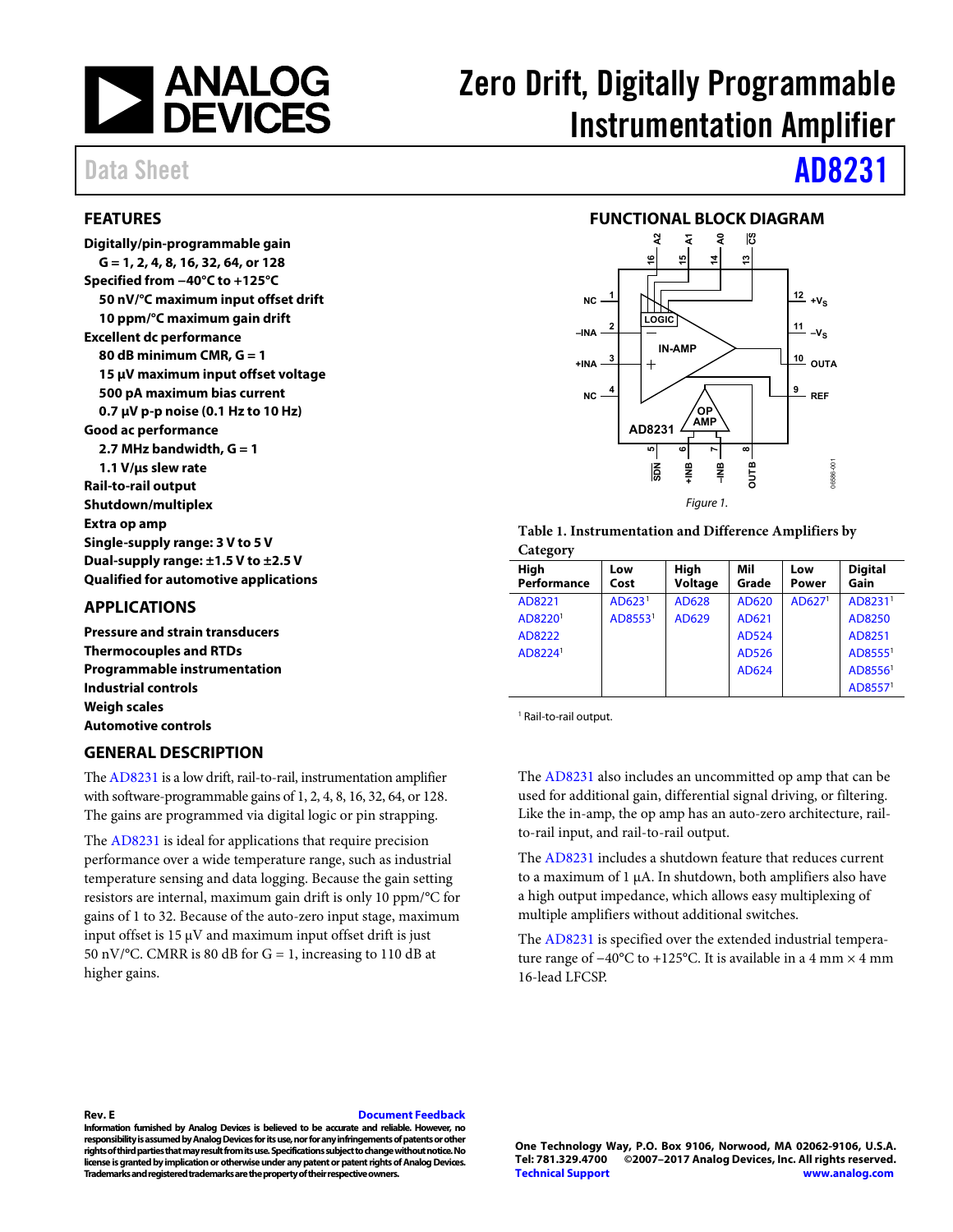

# Zero Drift, Digitally Programmable Instrumentation Amplifier

## <span id="page-0-0"></span>**FEATURES**

**Digitally/pin-programmable gain G = 1, 2, 4, 8, 16, 32, 64, or 128 Specified from −40°C to +125°C 50 nV/°C maximum input offset drift 10 ppm/°C maximum gain drift Excellent dc performance 80 dB minimum CMR, G = 1 15 µV maximum input offset voltage 500 pA maximum bias current 0.7 µV p-p noise (0.1 Hz to 10 Hz) Good ac performance 2.7 MHz bandwidth, G = 1 1.1 V/μs slew rate Rail-to-rail output Shutdown/multiplex Extra op amp Single-supply range: 3 V to 5 V Dual-supply range: ±1.5 V to ±2.5 V Qualified for automotive applications**

## <span id="page-0-1"></span>**APPLICATIONS**

**Pressure and strain transducers Thermocouples and RTDs Programmable instrumentation Industrial controls Weigh scales Automotive controls**

## <span id="page-0-3"></span>**GENERAL DESCRIPTION**

Th[e AD8231](http://www.analog.com/AD8231?doc=AD8231.pdf) is a low drift, rail-to-rail, instrumentation amplifier with software-programmable gains of 1, 2, 4, 8, 16, 32, 64, or 128. The gains are programmed via digital logic or pin strapping.

The [AD8231](http://www.analog.com/AD8231?doc=AD8231.pdf) is ideal for applications that require precision performance over a wide temperature range, such as industrial temperature sensing and data logging. Because the gain setting resistors are internal, maximum gain drift is only 10 ppm/°C for gains of 1 to 32. Because of the auto-zero input stage, maximum input offset is  $15 \mu$ V and maximum input offset drift is just 50 nV/°C. CMRR is 80 dB for  $G = 1$ , increasing to 110 dB at higher gains.

Data Sheet **[AD8231](http://www.analog.com/AD8231?doc=AD8231.pdf)** 

## **FUNCTIONAL BLOCK DIAGRAM**

<span id="page-0-2"></span>

**Table 1. Instrumentation and Difference Amplifiers by Category**

| High<br>Performance | Low<br>Cost         | High<br>Voltage | Mil<br>Grade | Low<br><b>Power</b> | <b>Digital</b><br>Gain |
|---------------------|---------------------|-----------------|--------------|---------------------|------------------------|
| AD8221              | AD623 <sup>1</sup>  | AD628           | AD620        | AD627 <sup>1</sup>  | AD8231 <sup>1</sup>    |
| AD8220 <sup>1</sup> | AD8553 <sup>1</sup> | AD629           | AD621        |                     | AD8250                 |
| AD8222              |                     |                 | <b>AD524</b> |                     | AD8251                 |
| AD8224 <sup>1</sup> |                     |                 | AD526        |                     | AD85551                |
|                     |                     |                 | AD624        |                     | AD8556 <sup>1</sup>    |
|                     |                     |                 |              |                     | AD85571                |

<sup>1</sup> Rail-to-rail output.

The [AD8231](http://www.analog.com/AD8231?doc=AD8231.pdf) also includes an uncommitted op amp that can be used for additional gain, differential signal driving, or filtering. Like the in-amp, the op amp has an auto-zero architecture, railto-rail input, and rail-to-rail output.

The [AD8231](http://www.analog.com/AD8231?doc=AD8231.pdf) includes a shutdown feature that reduces current to a maximum of 1 µA. In shutdown, both amplifiers also have a high output impedance, which allows easy multiplexing of multiple amplifiers without additional switches.

The [AD8231](http://www.analog.com/AD8231?doc=AD8231.pdf) is specified over the extended industrial temperature range of −40°C to +125°C. It is available in a 4 mm × 4 mm 16-lead LFCSP.

### **Rev. E [Document Feedback](https://form.analog.com/Form_Pages/feedback/documentfeedback.aspx?doc=AD8231.pdf&product=AD8231&rev=E)**

**Information furnished by Analog Devices is believed to be accurate and reliable. However, no responsibility is assumed by Analog Devices for its use, nor for any infringements of patents or other rights of third parties that may result from its use. Specifications subject to change without notice. No license is granted by implication or otherwise under any patent or patent rights of Analog Devices. Trademarks and registered trademarks are the property of theirrespective owners.**

**One Technology Way, P.O. Box 9106, Norwood, MA 02062-9106, U.S.A. Tel: 781.329.4700 ©2007–2017 Analog Devices, Inc. All rights reserved. [Technical Support](http://www.analog.com/en/content/technical_support_page/fca.html) [www.analog.com](http://www.analog.com/)**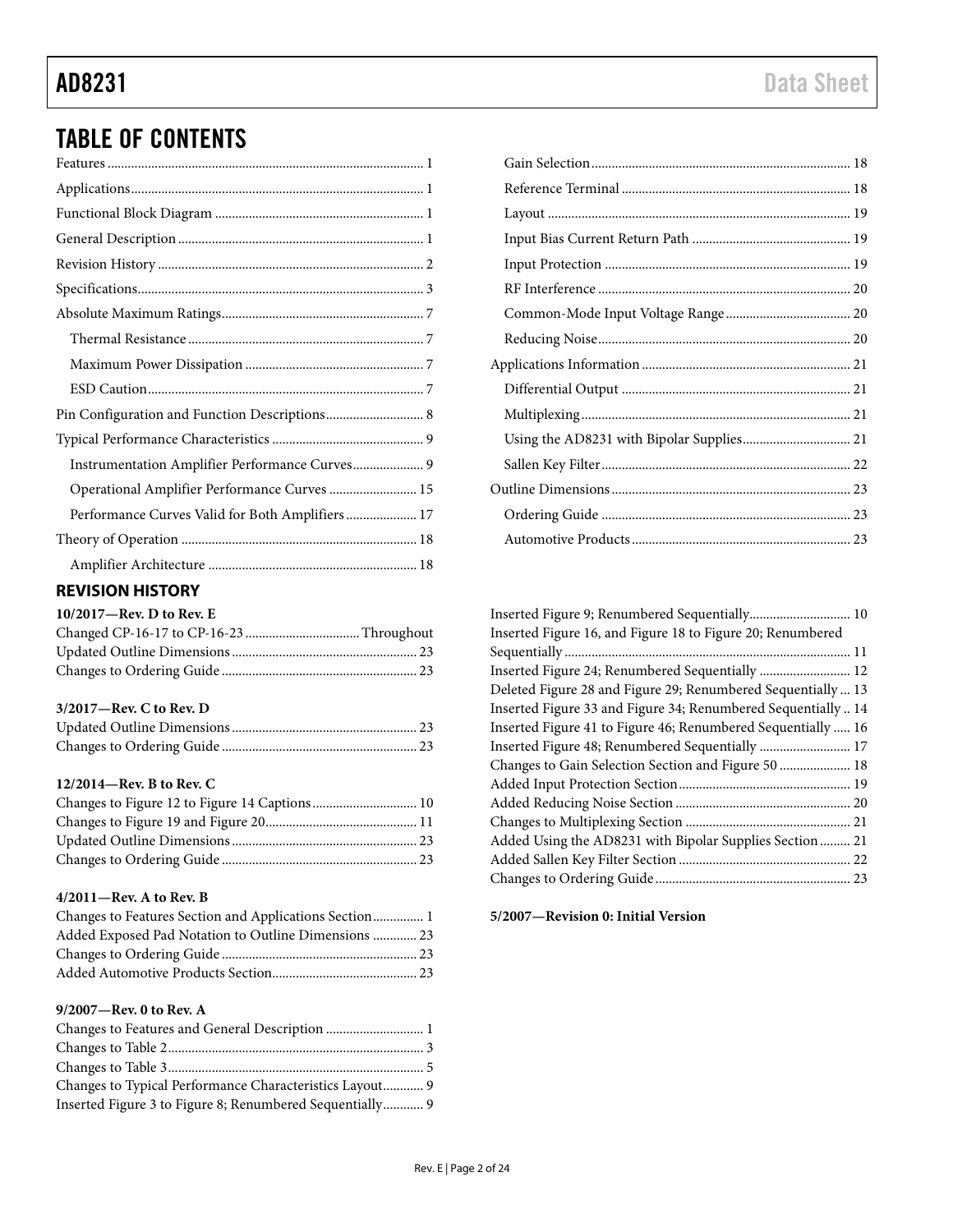# TABLE OF CONTENTS

| Pin Configuration and Function Descriptions 8   |
|-------------------------------------------------|
|                                                 |
| Instrumentation Amplifier Performance Curves 9  |
| Operational Amplifier Performance Curves  15    |
| Performance Curves Valid for Both Amplifiers 17 |
|                                                 |
|                                                 |
|                                                 |

# <span id="page-1-0"></span>**REVISION HISTORY**

### **10/2017—Rev. D to Rev. E**

### **3/2017—Rev. C to Rev. D**

### **12/2014—Rev. B to Rev. C**

## **4/2011—Rev. A to Rev. B**

| Changes to Features Section and Applications Section 1 |  |
|--------------------------------------------------------|--|
| Added Exposed Pad Notation to Outline Dimensions  23   |  |
|                                                        |  |
|                                                        |  |

## **9/2007—Rev. 0 to Rev. A**

| Changes to Features and General Description  1           |  |
|----------------------------------------------------------|--|
|                                                          |  |
|                                                          |  |
| Changes to Typical Performance Characteristics Layout 9  |  |
| Inserted Figure 3 to Figure 8; Renumbered Sequentially 9 |  |

| Inserted Figure 9; Renumbered Sequentially 10                 |  |
|---------------------------------------------------------------|--|
| Inserted Figure 16, and Figure 18 to Figure 20; Renumbered    |  |
|                                                               |  |
| Inserted Figure 24; Renumbered Sequentially  12               |  |
| Deleted Figure 28 and Figure 29; Renumbered Sequentially  13  |  |
| Inserted Figure 33 and Figure 34; Renumbered Sequentially  14 |  |
| Inserted Figure 41 to Figure 46; Renumbered Sequentially  16  |  |
|                                                               |  |
| Changes to Gain Selection Section and Figure 50  18           |  |
|                                                               |  |
|                                                               |  |
|                                                               |  |
| Added Using the AD8231 with Bipolar Supplies Section  21      |  |
|                                                               |  |
|                                                               |  |
|                                                               |  |

**5/2007—Revision 0: Initial Version**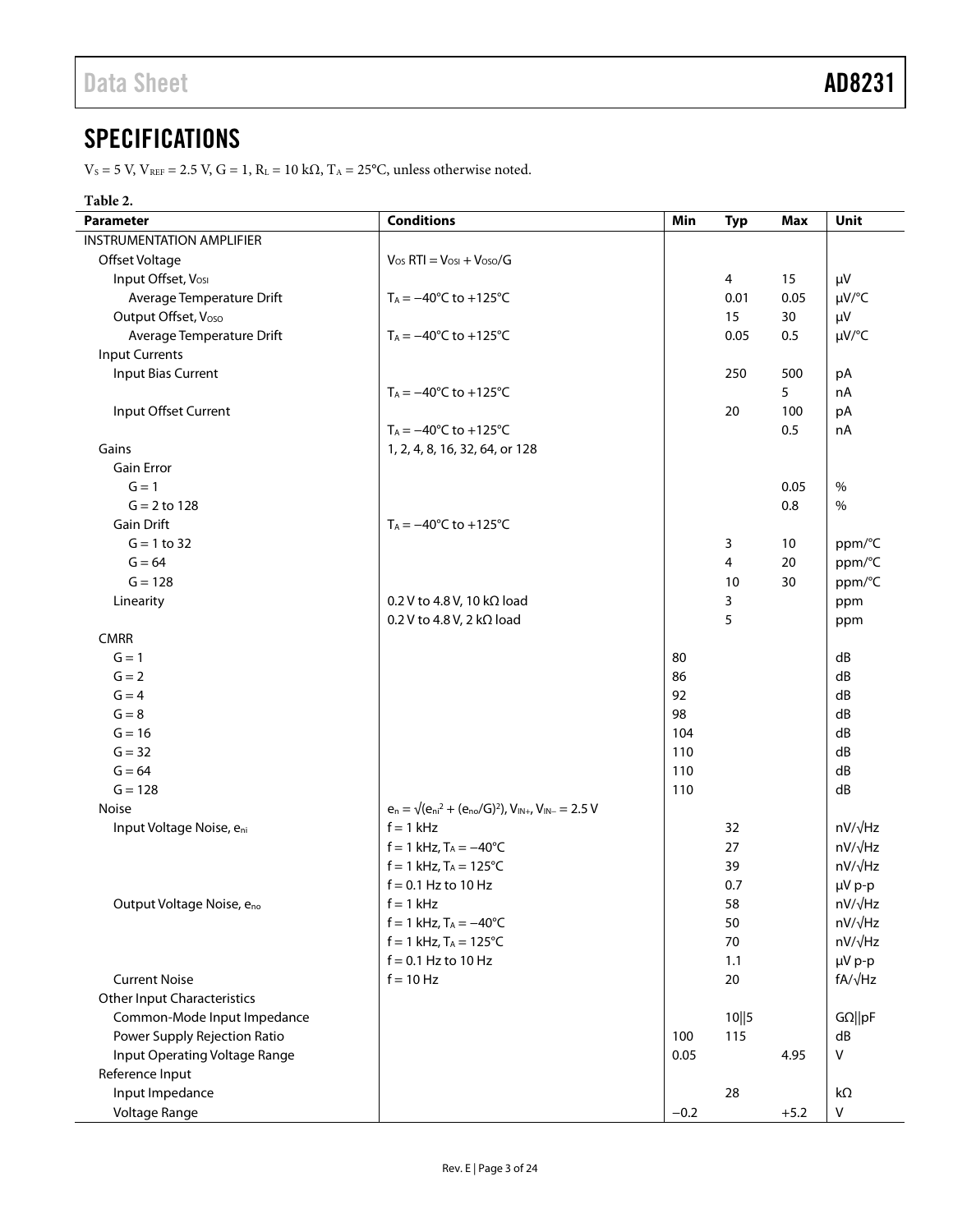# <span id="page-2-0"></span>**SPECIFICATIONS**

 $V_S = 5$  V,  $V_{REF} = 2.5$  V,  $G = 1$ ,  $R_L = 10$  k $\Omega$ ,  $T_A = 25$ °C, unless otherwise noted.

# **Table 2.**

| <b>Parameter</b>                   | <b>Conditions</b>                                                        | Min    | <b>Typ</b> | Max    | Unit                     |
|------------------------------------|--------------------------------------------------------------------------|--------|------------|--------|--------------------------|
| <b>INSTRUMENTATION AMPLIFIER</b>   |                                                                          |        |            |        |                          |
| Offset Voltage                     | $V_{OS}$ RTI = $V_{OSI}$ + $V_{OSO}/G$                                   |        |            |        |                          |
| Input Offset, Vosi                 |                                                                          |        | 4          | 15     | μV                       |
| Average Temperature Drift          | $T_A = -40^{\circ}C$ to $+125^{\circ}C$                                  |        | 0.01       | 0.05   | µV/°C                    |
| Output Offset, Voso                |                                                                          |        | 15         | 30     | μV                       |
| Average Temperature Drift          | $T_A = -40^{\circ}C$ to $+125^{\circ}C$                                  |        | 0.05       | 0.5    | µV/°C                    |
| <b>Input Currents</b>              |                                                                          |        |            |        |                          |
| <b>Input Bias Current</b>          |                                                                          |        | 250        | 500    | pA                       |
|                                    | $T_A = -40^{\circ}C$ to $+125^{\circ}C$                                  |        |            | 5      | nA                       |
| Input Offset Current               |                                                                          |        | 20         | 100    | pA                       |
|                                    | $T_A = -40^{\circ}C$ to $+125^{\circ}C$                                  |        |            | 0.5    | nA                       |
| Gains                              | 1, 2, 4, 8, 16, 32, 64, or 128                                           |        |            |        |                          |
| Gain Error                         |                                                                          |        |            |        |                          |
| $G = 1$                            |                                                                          |        |            | 0.05   | $\%$                     |
| $G = 2$ to 128                     |                                                                          |        |            | 0.8    | $\%$                     |
| Gain Drift                         | $T_A = -40^{\circ}C$ to $+125^{\circ}C$                                  |        |            |        |                          |
| $G = 1 to 32$                      |                                                                          |        | 3          | 10     | ppm/°C                   |
| $G = 64$                           |                                                                          |        | 4          | 20     | ppm/°C                   |
| $G = 128$                          |                                                                          |        | 10         | 30     | ppm/°C                   |
| Linearity                          | 0.2 V to 4.8 V, 10 kΩ load                                               |        | 3          |        | ppm                      |
|                                    | 0.2 V to 4.8 V, 2 k $\Omega$ load                                        |        | 5          |        | ppm                      |
| <b>CMRR</b>                        |                                                                          |        |            |        |                          |
| $G = 1$                            |                                                                          | 80     |            |        | dB                       |
| $G = 2$                            |                                                                          | 86     |            |        | dB                       |
| $G = 4$                            |                                                                          | 92     |            |        | dB                       |
| $G = 8$                            |                                                                          | 98     |            |        | dB                       |
| $G = 16$                           |                                                                          | 104    |            |        | dB                       |
| $G = 32$                           |                                                                          | 110    |            |        | dB                       |
| $G = 64$                           |                                                                          | 110    |            |        | dB                       |
| $G = 128$                          |                                                                          | 110    |            |        | dB                       |
| Noise                              | $e_n = \sqrt{(e_{ni}^2 + (e_{no}/G)^2)}$ , $V_{IN+}$ , $V_{IN-} = 2.5$ V |        |            |        |                          |
| Input Voltage Noise, eni           | $f = 1$ kHz                                                              |        | 32         |        | $nV/\sqrt{Hz}$           |
|                                    | $f = 1$ kHz, $T_A = -40$ °C                                              |        | 27         |        | $nV/\sqrt{Hz}$           |
|                                    | $f = 1$ kHz, $T_A = 125^{\circ}C$                                        |        | 39         |        | $nV/\sqrt{Hz}$           |
|                                    | $f = 0.1$ Hz to 10 Hz                                                    |        | 0.7        |        | µV p-p                   |
| Output Voltage Noise, eno          | $f = 1$ kHz                                                              |        | 58         |        | $nV/\sqrt{Hz}$           |
|                                    | $f = 1$ kHz, $T_A = -40^{\circ}C$                                        |        | 50         |        | nV/√Hz                   |
|                                    | $f = 1$ kHz, $T_A = 125^{\circ}C$                                        |        | 70         |        | $nV/\sqrt{Hz}$           |
|                                    |                                                                          |        |            |        |                          |
| <b>Current Noise</b>               | $f = 0.1$ Hz to 10 Hz<br>$f = 10 Hz$                                     |        | 1.1<br>20  |        | µV p-p<br>$fA/\sqrt{Hz}$ |
|                                    |                                                                          |        |            |        |                          |
| <b>Other Input Characteristics</b> |                                                                          |        |            |        |                          |
| Common-Mode Input Impedance        |                                                                          |        | 10  5      |        | $G\Omega$   pF           |
| Power Supply Rejection Ratio       |                                                                          | 100    | 115        |        | dB                       |
| Input Operating Voltage Range      |                                                                          | 0.05   |            | 4.95   | V                        |
| Reference Input                    |                                                                          |        |            |        |                          |
| Input Impedance                    |                                                                          |        | 28         |        | kΩ                       |
| Voltage Range                      |                                                                          | $-0.2$ |            | $+5.2$ | V                        |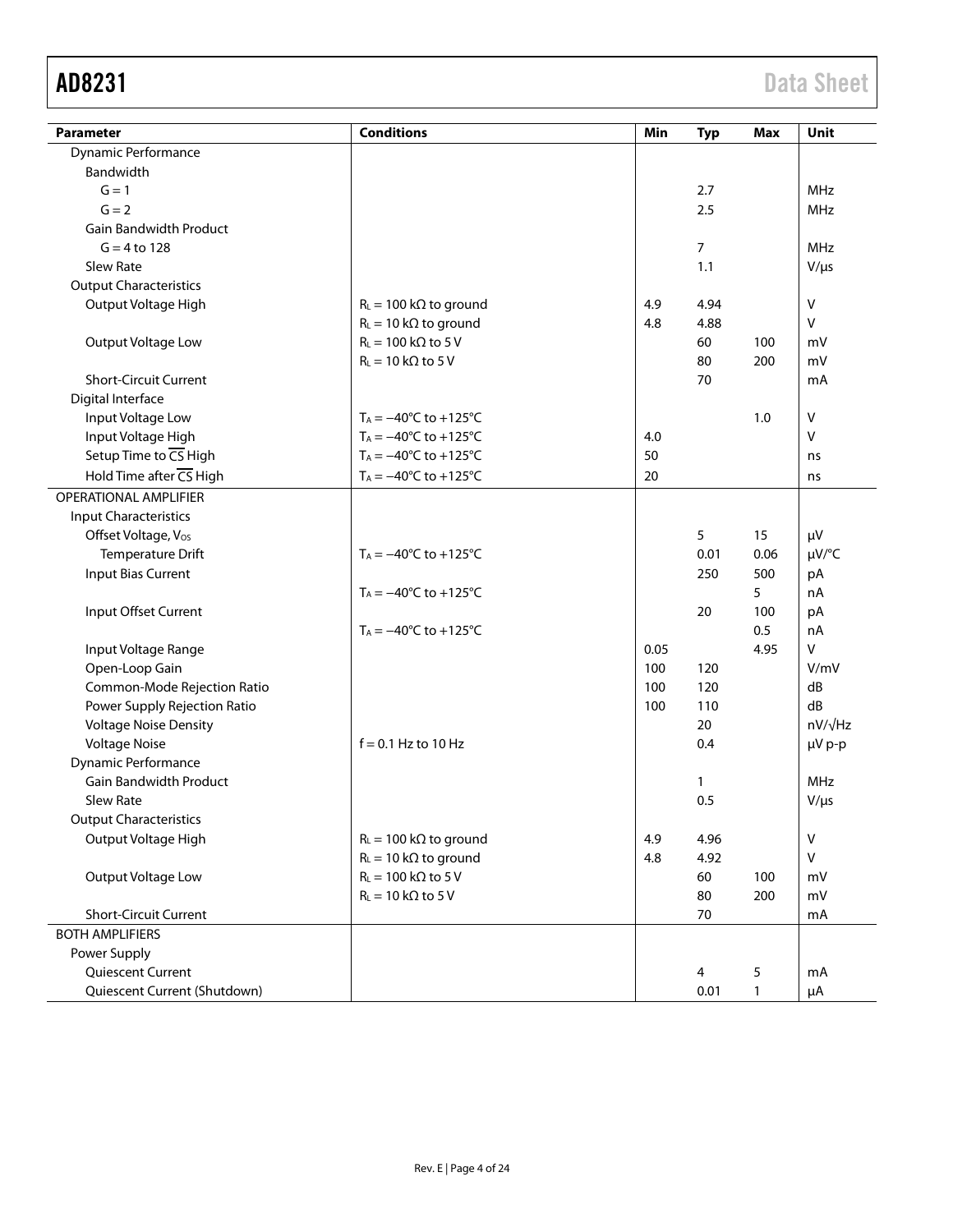| Parameter                       | <b>Conditions</b>                       | Min  | <b>Typ</b>     | Max  | Unit           |
|---------------------------------|-----------------------------------------|------|----------------|------|----------------|
| Dynamic Performance             |                                         |      |                |      |                |
| Bandwidth                       |                                         |      |                |      |                |
| $G = 1$                         |                                         |      | 2.7            |      | <b>MHz</b>     |
| $G = 2$                         |                                         |      | 2.5            |      | <b>MHz</b>     |
| <b>Gain Bandwidth Product</b>   |                                         |      |                |      |                |
| $G = 4 to 128$                  |                                         |      | $\overline{7}$ |      | <b>MHz</b>     |
| Slew Rate                       |                                         |      | 1.1            |      | $V/\mu s$      |
| <b>Output Characteristics</b>   |                                         |      |                |      |                |
| Output Voltage High             | $R_L = 100 \text{ k}\Omega$ to ground   | 4.9  | 4.94           |      | V              |
|                                 | $R_L = 10 k\Omega$ to ground            | 4.8  | 4.88           |      | $\mathsf{V}$   |
| Output Voltage Low              | $R_L = 100 \text{ k}\Omega$ to 5 V      |      | 60             | 100  | mV             |
|                                 | $R_L = 10 k\Omega$ to 5 V               |      | 80             | 200  | mV             |
| <b>Short-Circuit Current</b>    |                                         |      | 70             |      | mA             |
| Digital Interface               |                                         |      |                |      |                |
| Input Voltage Low               | $T_A = -40^{\circ}C$ to $+125^{\circ}C$ |      |                | 1.0  | $\vee$         |
| Input Voltage High              | $T_A = -40^{\circ}C$ to $+125^{\circ}C$ | 4.0  |                |      | v              |
| Setup Time to CS High           | $T_A = -40^{\circ}C$ to $+125^{\circ}C$ | 50   |                |      | ns             |
| Hold Time after CS High         | $T_A = -40$ °C to +125°C                | 20   |                |      | ns             |
| <b>OPERATIONAL AMPLIFIER</b>    |                                         |      |                |      |                |
| <b>Input Characteristics</b>    |                                         |      |                |      |                |
| Offset Voltage, V <sub>os</sub> |                                         |      | 5              | 15   | μV             |
| Temperature Drift               | $T_A = -40^{\circ}C$ to $+125^{\circ}C$ |      | 0.01           | 0.06 | µV/°C          |
| Input Bias Current              |                                         |      | 250            | 500  | pA             |
|                                 | $T_A = -40^{\circ}C$ to $+125^{\circ}C$ |      |                | 5    | nA             |
| Input Offset Current            |                                         |      | 20             | 100  | pA             |
|                                 | $T_A = -40^{\circ}C$ to $+125^{\circ}C$ |      |                | 0.5  | nA             |
| Input Voltage Range             |                                         | 0.05 |                | 4.95 | $\vee$         |
| Open-Loop Gain                  |                                         | 100  | 120            |      | V/mV           |
| Common-Mode Rejection Ratio     |                                         | 100  | 120            |      | dB             |
| Power Supply Rejection Ratio    |                                         | 100  | 110            |      | dB             |
| <b>Voltage Noise Density</b>    |                                         |      | 20             |      | $nV/\sqrt{Hz}$ |
| <b>Voltage Noise</b>            | $f = 0.1$ Hz to 10 Hz                   |      | 0.4            |      | µV p-p         |
| Dynamic Performance             |                                         |      |                |      |                |
| <b>Gain Bandwidth Product</b>   |                                         |      | $\mathbf{1}$   |      | <b>MHz</b>     |
| <b>Slew Rate</b>                |                                         |      | 0.5            |      | $V/\mu s$      |
| <b>Output Characteristics</b>   |                                         |      |                |      |                |
| Output Voltage High             | $R_L = 100 \text{ k}\Omega$ to ground   | 4.9  | 4.96           |      | v              |
|                                 | $R_L = 10 k\Omega$ to ground            | 4.8  | 4.92           |      | $\vee$         |
| Output Voltage Low              | $R_L = 100 \text{ k}\Omega$ to 5 V      |      | 60             | 100  | mV             |
|                                 | $R_L = 10 k\Omega$ to 5 V               |      | 80             | 200  | mV             |
| <b>Short-Circuit Current</b>    |                                         |      | 70             |      | mA             |
| <b>BOTH AMPLIFIERS</b>          |                                         |      |                |      |                |
| Power Supply                    |                                         |      |                |      |                |
| Quiescent Current               |                                         |      | 4              | 5    | mA             |
| Quiescent Current (Shutdown)    |                                         |      | 0.01           | 1    | μA             |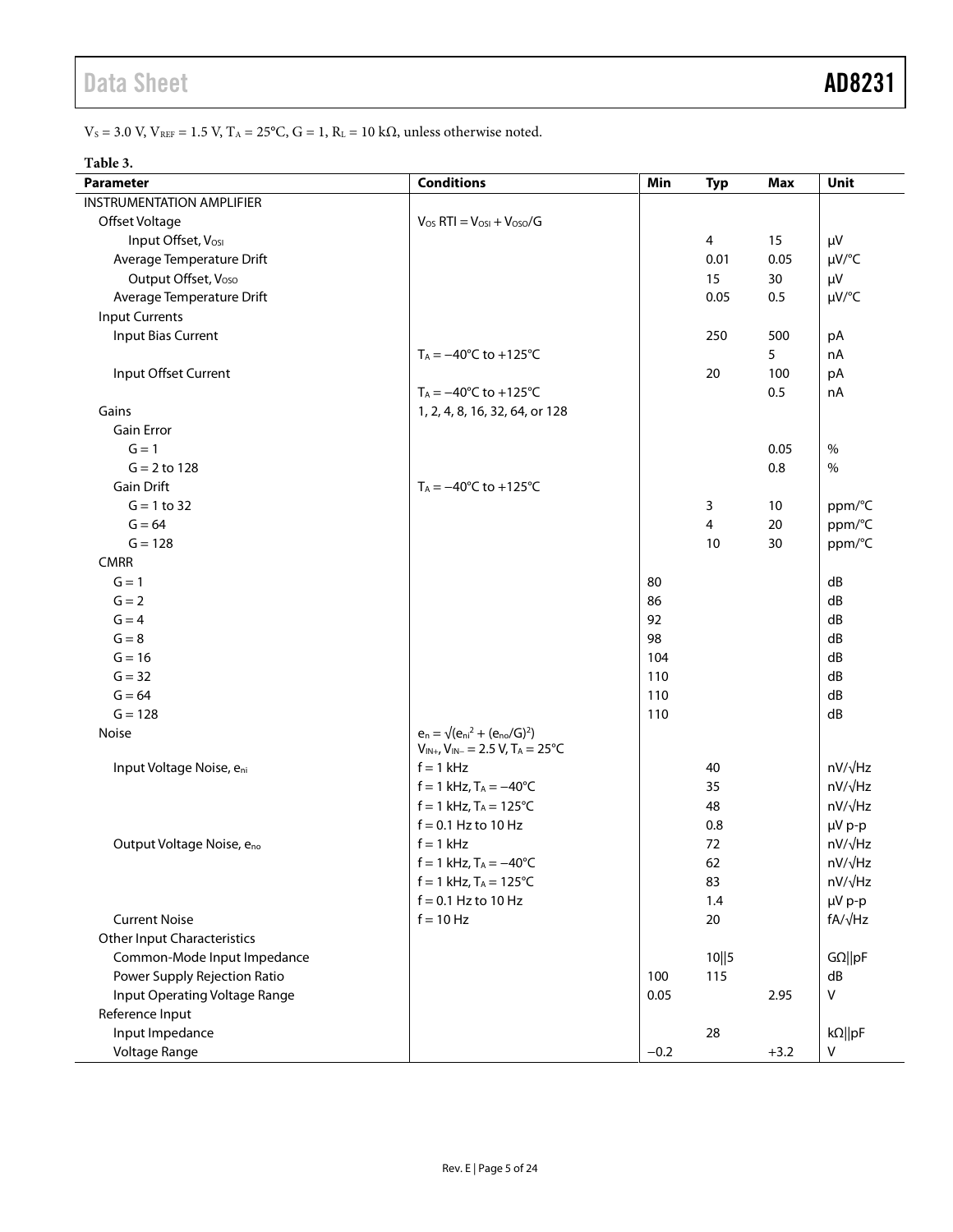# Data Sheet **AD8231**

 $\rm V_S$  = 3.0 V,  $\rm V_{\rm REF}$  = 1.5 V,  $\rm T_A$  = 25°C,  $\rm G$  = 1,  $\rm R_L$  = 10 k $\Omega$ , unless otherwise noted.

### **Table 3.**

| <b>Parameter</b>                   | <b>Conditions</b>                                    | Min    | <b>Typ</b> | <b>Max</b> | Unit           |
|------------------------------------|------------------------------------------------------|--------|------------|------------|----------------|
| <b>INSTRUMENTATION AMPLIFIER</b>   |                                                      |        |            |            |                |
| Offset Voltage                     | $V_{OS}$ RTI = $V_{OSI}$ + $V_{OSO}/G$               |        |            |            |                |
| Input Offset, Vosi                 |                                                      |        | 4          | 15         | $\mu V$        |
| Average Temperature Drift          |                                                      |        | 0.01       | 0.05       | $\mu V$ /°C    |
| Output Offset, Voso                |                                                      |        | 15         | 30         | μV             |
| Average Temperature Drift          |                                                      |        | 0.05       | 0.5        | µV/°C          |
| <b>Input Currents</b>              |                                                      |        |            |            |                |
| Input Bias Current                 |                                                      |        | 250        | 500        | pA             |
|                                    | $T_A = -40^{\circ}C$ to $+125^{\circ}C$              |        |            | 5          | nA             |
| Input Offset Current               |                                                      |        | 20         | 100        | pA             |
|                                    | $T_A = -40^{\circ}C$ to $+125^{\circ}C$              |        |            | 0.5        | nA             |
| Gains                              | 1, 2, 4, 8, 16, 32, 64, or 128                       |        |            |            |                |
| Gain Error                         |                                                      |        |            |            |                |
| $G = 1$                            |                                                      |        |            | 0.05       | $\%$           |
| $G = 2$ to 128                     |                                                      |        |            | 0.8        | $\%$           |
| <b>Gain Drift</b>                  | $T_A = -40^{\circ}C$ to $+125^{\circ}C$              |        |            |            |                |
| $G = 1 to 32$                      |                                                      |        | 3          | 10         | ppm/°C         |
| $G = 64$                           |                                                      |        | 4          | 20         | ppm/°C         |
| $G = 128$                          |                                                      |        | 10         | 30         | ppm/°C         |
| <b>CMRR</b>                        |                                                      |        |            |            |                |
| $G = 1$                            |                                                      | 80     |            |            | dB             |
| $G = 2$                            |                                                      | 86     |            |            | dB             |
| $G = 4$                            |                                                      | 92     |            |            | dB             |
| $G = 8$                            |                                                      | 98     |            |            | dB             |
| $G = 16$                           |                                                      | 104    |            |            | dB             |
| $G = 32$                           |                                                      | 110    |            |            | dB             |
| $G = 64$                           |                                                      | 110    |            |            | dB             |
| $G = 128$                          |                                                      | 110    |            |            | dB             |
| Noise                              | $e_n = \sqrt{(e_{ni}^2 + (e_{no}/G)^2)}$             |        |            |            |                |
|                                    | $V_{IN+}$ , $V_{IN-}$ = 2.5 V, T <sub>A</sub> = 25°C |        |            |            |                |
| Input Voltage Noise, eni           | $f = 1$ kHz                                          |        | 40         |            | nV/√Hz         |
|                                    | $f = 1$ kHz, $T_A = -40^{\circ}C$                    |        | 35         |            | nV/√Hz         |
|                                    | $f = 1$ kHz, $T_A = 125^{\circ}C$                    |        | 48         |            | nV/√Hz         |
|                                    | $f = 0.1$ Hz to 10 Hz                                |        | 0.8        |            | µV p-p         |
| Output Voltage Noise, eno          | $f = 1$ kHz                                          |        | 72         |            | nV/√Hz         |
|                                    | $f = 1$ kHz, $T_A = -40^{\circ}C$                    |        | 62         |            | nV/√Hz         |
|                                    | $f = 1$ kHz, T <sub>A</sub> = 125°C                  |        | 83         |            | nV/√Hz         |
|                                    | $f = 0.1$ Hz to 10 Hz                                |        | 1.4        |            | µV p-p         |
| <b>Current Noise</b>               | $f = 10 Hz$                                          |        | 20         |            | $fA/\sqrt{Hz}$ |
| <b>Other Input Characteristics</b> |                                                      |        |            |            |                |
| Common-Mode Input Impedance        |                                                      |        | 10  5      |            | $G\Omega$   pF |
| Power Supply Rejection Ratio       |                                                      | 100    | 115        |            | dB             |
| Input Operating Voltage Range      |                                                      | 0.05   |            | 2.95       | V              |
| Reference Input                    |                                                      |        |            |            |                |
| Input Impedance                    |                                                      |        | 28         |            | $k\Omega$   pF |
| Voltage Range                      |                                                      | $-0.2$ |            | $+3.2$     | V              |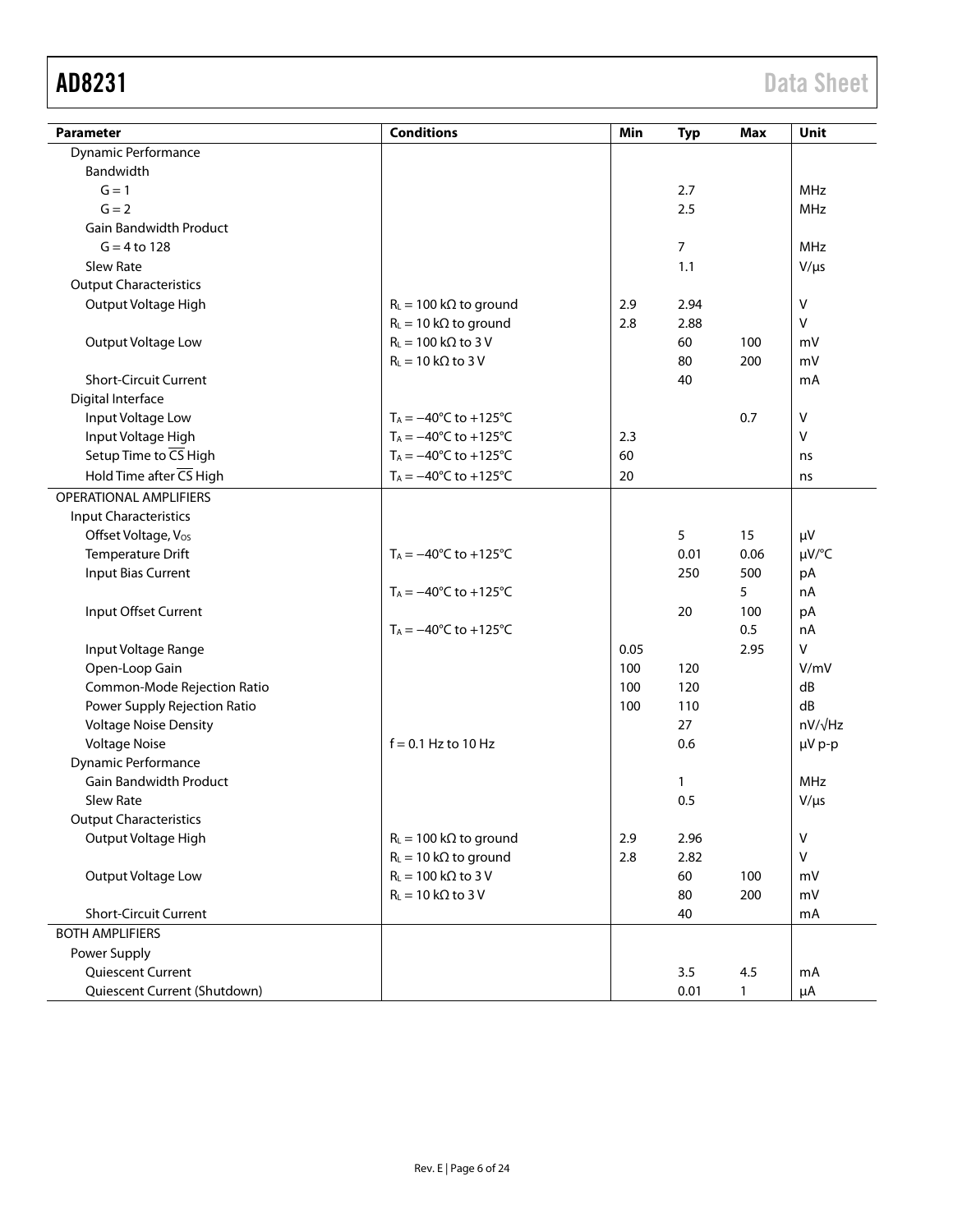| <b>Parameter</b>              | <b>Conditions</b>                       | Min  | <b>Typ</b> | <b>Max</b>   | <b>Unit</b>    |
|-------------------------------|-----------------------------------------|------|------------|--------------|----------------|
| Dynamic Performance           |                                         |      |            |              |                |
| Bandwidth                     |                                         |      |            |              |                |
| $G = 1$                       |                                         |      | 2.7        |              | <b>MHz</b>     |
| $G = 2$                       |                                         |      | 2.5        |              | <b>MHz</b>     |
| Gain Bandwidth Product        |                                         |      |            |              |                |
| $G = 4 to 128$                |                                         |      | 7          |              | <b>MHz</b>     |
| Slew Rate                     |                                         |      | 1.1        |              | $V/\mu s$      |
| <b>Output Characteristics</b> |                                         |      |            |              |                |
|                               |                                         |      |            |              | $\mathsf{V}$   |
| Output Voltage High           | $R_L = 100 \text{ k}\Omega$ to ground   | 2.9  | 2.94       |              | $\mathsf{V}$   |
|                               | $R_L = 10 k\Omega$ to ground            | 2.8  | 2.88       |              |                |
| Output Voltage Low            | $R_L = 100 \text{ k}\Omega$ to 3 V      |      | 60         | 100          | mV             |
|                               | $R_L = 10 k\Omega$ to 3 V               |      | 80         | 200          | mV             |
| <b>Short-Circuit Current</b>  |                                         |      | 40         |              | mA             |
| Digital Interface             |                                         |      |            |              |                |
| Input Voltage Low             | $T_A = -40^{\circ}C$ to $+125^{\circ}C$ |      |            | 0.7          | $\mathsf{V}$   |
| Input Voltage High            | $T_A = -40^{\circ}C$ to $+125^{\circ}C$ | 2.3  |            |              | $\vee$         |
| Setup Time to CS High         | $T_A = -40^{\circ}C$ to $+125^{\circ}C$ | 60   |            |              | ns             |
| Hold Time after CS High       | $T_A = -40^{\circ}C$ to $+125^{\circ}C$ | 20   |            |              | ns             |
| OPERATIONAL AMPLIFIERS        |                                         |      |            |              |                |
| <b>Input Characteristics</b>  |                                         |      |            |              |                |
| Offset Voltage, Vos           |                                         |      | 5          | 15           | $\mu V$        |
| Temperature Drift             | $T_A = -40^{\circ}C$ to $+125^{\circ}C$ |      | 0.01       | 0.06         | µV/°C          |
| Input Bias Current            |                                         |      | 250        | 500          | pA             |
|                               | $T_A = -40^{\circ}C$ to $+125^{\circ}C$ |      |            | 5            | nA             |
| Input Offset Current          |                                         |      | 20         | 100          | pA             |
|                               | $T_A = -40^{\circ}C$ to $+125^{\circ}C$ |      |            | 0.5          | nA             |
| Input Voltage Range           |                                         | 0.05 |            | 2.95         | $\mathsf{V}$   |
| Open-Loop Gain                |                                         | 100  | 120        |              | V/mV           |
| Common-Mode Rejection Ratio   |                                         | 100  | 120        |              | dB             |
| Power Supply Rejection Ratio  |                                         | 100  | 110        |              | dB             |
| <b>Voltage Noise Density</b>  |                                         |      | 27         |              | $nV/\sqrt{Hz}$ |
| <b>Voltage Noise</b>          | $f = 0.1$ Hz to 10 Hz                   |      | 0.6        |              | $\mu V$ p-p    |
| Dynamic Performance           |                                         |      |            |              |                |
| <b>Gain Bandwidth Product</b> |                                         |      | 1          |              | <b>MHz</b>     |
| Slew Rate                     |                                         |      | 0.5        |              | $V/\mu s$      |
| <b>Output Characteristics</b> |                                         |      |            |              |                |
| Output Voltage High           | $R_L = 100 \text{ k}\Omega$ to ground   | 2.9  | 2.96       |              | $\mathsf{V}$   |
|                               | $R_L = 10 k\Omega$ to ground            | 2.8  | 2.82       |              | $\mathsf{V}$   |
| Output Voltage Low            | $R_L = 100 \text{ k}\Omega$ to 3 V      |      | 60         | 100          | mV             |
|                               | $R_L = 10 k\Omega$ to 3 V               |      | 80         | 200          | mV             |
| <b>Short-Circuit Current</b>  |                                         |      | 40         |              | mA             |
| <b>BOTH AMPLIFIERS</b>        |                                         |      |            |              |                |
| Power Supply                  |                                         |      |            |              |                |
| Quiescent Current             |                                         |      | 3.5        | 4.5          | mA             |
| Quiescent Current (Shutdown)  |                                         |      | 0.01       | $\mathbf{1}$ | μA             |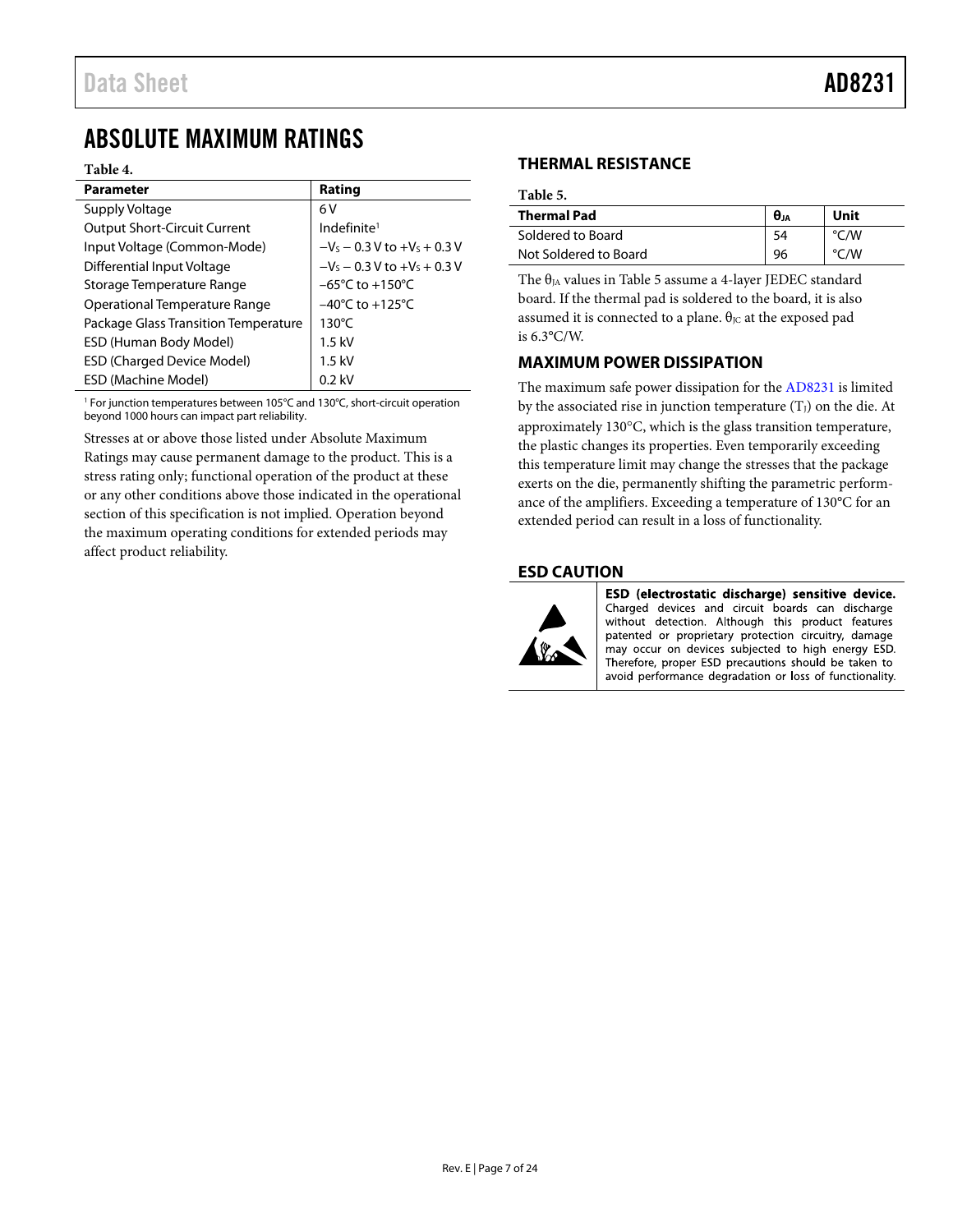# <span id="page-6-0"></span>ABSOLUTE MAXIMUM RATINGS

### **Table 4.**

| <b>Parameter</b>                     | Rating                              |
|--------------------------------------|-------------------------------------|
| Supply Voltage                       | 6V                                  |
| <b>Output Short-Circuit Current</b>  | Indefinite <sup>1</sup>             |
| Input Voltage (Common-Mode)          | $-V_s - 0.3 V$ to $+V_s + 0.3 V$    |
| <b>Differential Input Voltage</b>    | $-V_s - 0.3 V$ to $+V_s + 0.3 V$    |
| Storage Temperature Range            | $-65^{\circ}$ C to $+150^{\circ}$ C |
| Operational Temperature Range        | $-40^{\circ}$ C to $+125^{\circ}$ C |
| Package Glass Transition Temperature | $130^{\circ}$ C                     |
| ESD (Human Body Model)               | $1.5$ kV                            |
| <b>ESD (Charged Device Model)</b>    | $1.5$ kV                            |
| ESD (Machine Model)                  | $0.2$ kV                            |

<sup>1</sup> For junction temperatures between 105°C and 130°C, short-circuit operation beyond 1000 hours can impact part reliability.

Stresses at or above those listed under Absolute Maximum Ratings may cause permanent damage to the product. This is a stress rating only; functional operation of the product at these or any other conditions above those indicated in the operational section of this specification is not implied. Operation beyond the maximum operating conditions for extended periods may affect product reliability.

## <span id="page-6-1"></span>**THERMAL RESISTANCE**

<span id="page-6-4"></span>**Table 5.** 

| <b>Thermal Pad</b>    | $\theta$ ja | Unit          |
|-----------------------|-------------|---------------|
| Soldered to Board     |             | /W            |
| Not Soldered to Board | 96          | $\degree$ C/W |

The  $\theta_{JA}$  values in [Table 5](#page-6-4) assume a 4-layer JEDEC standard board. If the thermal pad is soldered to the board, it is also assumed it is connected to a plane.  $\theta$ <sub>JC</sub> at the exposed pad is 6.3°C/W.

# <span id="page-6-2"></span>**MAXIMUM POWER DISSIPATION**

The maximum safe power dissipation for the [AD8231](http://www.analog.com/AD8231?doc=AD8231.pdf) is limited by the associated rise in junction temperature  $(T<sub>J</sub>)$  on the die. At approximately 130°C, which is the glass transition temperature, the plastic changes its properties. Even temporarily exceeding this temperature limit may change the stresses that the package exerts on the die, permanently shifting the parametric performance of the amplifiers. Exceeding a temperature of 130°C for an extended period can result in a loss of functionality.

# <span id="page-6-3"></span>**ESD CAUTION**



ESD (electrostatic discharge) sensitive device. Charged devices and circuit boards can discharge without detection. Although this product features patented or proprietary protection circuitry, damage may occur on devices subjected to high energy ESD. Therefore, proper ESD precautions should be taken to avoid performance degradation or loss of functionality.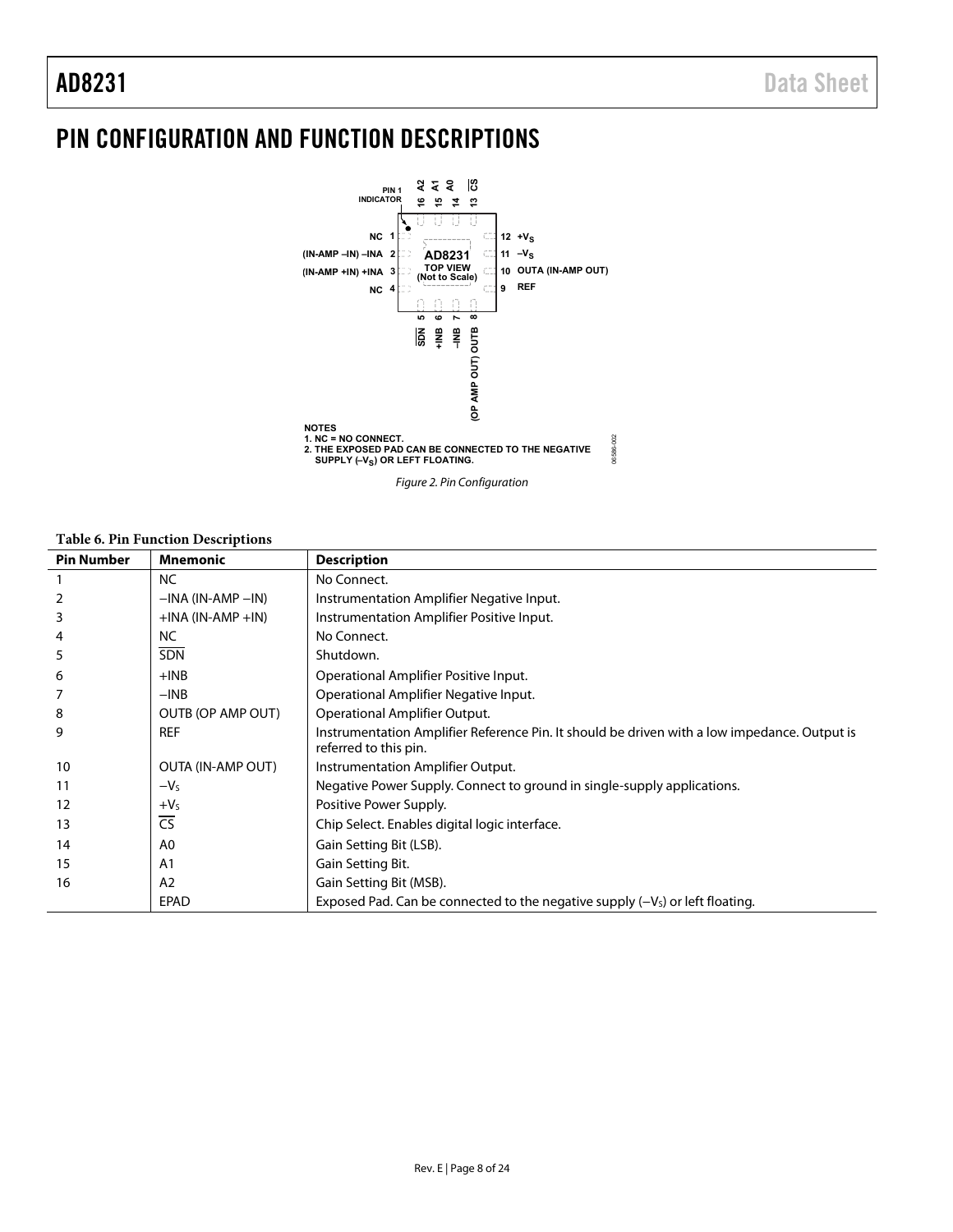# <span id="page-7-0"></span>PIN CONFIGURATION AND FUNCTION DESCRIPTIONS



### **Table 6. Pin Function Descriptions**

| <b>Pin Number</b> | Mnemonic                 | <b>Description</b>                                                                                                    |
|-------------------|--------------------------|-----------------------------------------------------------------------------------------------------------------------|
|                   | <b>NC</b>                | No Connect.                                                                                                           |
|                   | $-$ INA (IN-AMP $-$ IN)  | Instrumentation Amplifier Negative Input.                                                                             |
| 3                 | $+$ INA (IN-AMP $+$ IN)  | Instrumentation Amplifier Positive Input.                                                                             |
| 4                 | NC.                      | No Connect.                                                                                                           |
| 5                 | SDN                      | Shutdown.                                                                                                             |
| 6                 | $+INB$                   | Operational Amplifier Positive Input.                                                                                 |
|                   | $-INB$                   | Operational Amplifier Negative Input.                                                                                 |
| 8                 | OUTB (OP AMP OUT)        | Operational Amplifier Output.                                                                                         |
| 9                 | <b>REF</b>               | Instrumentation Amplifier Reference Pin. It should be driven with a low impedance. Output is<br>referred to this pin. |
| 10                | <b>OUTA (IN-AMP OUT)</b> | Instrumentation Amplifier Output.                                                                                     |
| 11                | $-VS$                    | Negative Power Supply. Connect to ground in single-supply applications.                                               |
| 12                | $+VS$                    | Positive Power Supply.                                                                                                |
| 13                | $\overline{\text{CS}}$   | Chip Select. Enables digital logic interface.                                                                         |
| 14                | A0                       | Gain Setting Bit (LSB).                                                                                               |
| 15                | A <sub>1</sub>           | Gain Setting Bit.                                                                                                     |
| 16                | A <sub>2</sub>           | Gain Setting Bit (MSB).                                                                                               |
|                   | EPAD                     | Exposed Pad. Can be connected to the negative supply $(-V_s)$ or left floating.                                       |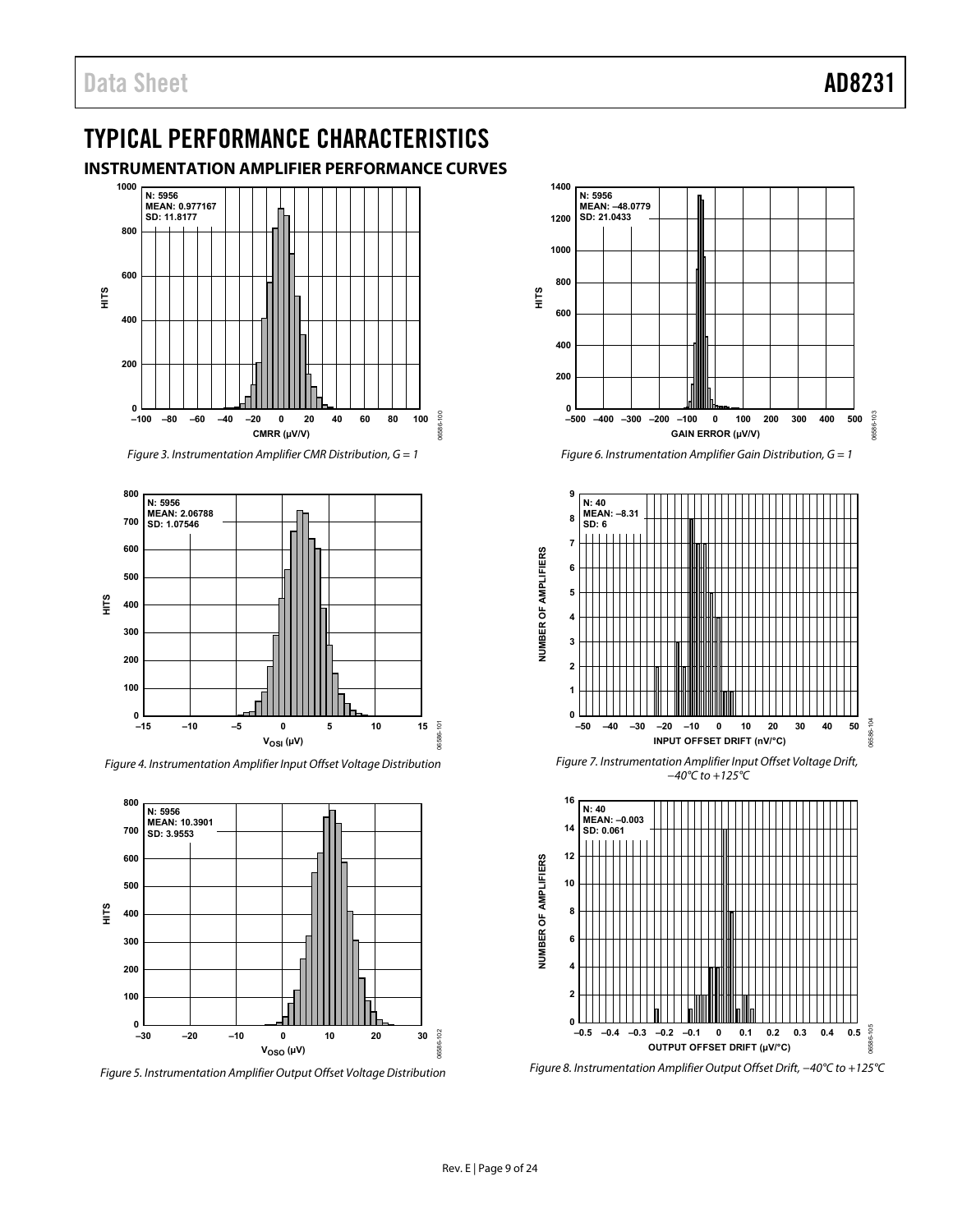# <span id="page-8-0"></span>TYPICAL PERFORMANCE CHARACTERISTICS

<span id="page-8-1"></span>**INSTRUMENTATION AMPLIFIER PERFORMANCE CURVES**



*Figure 3. Instrumentation Amplifier CMR Distribution, G = 1*



*Figure 4. Instrumentation Amplifier Input Offset Voltage Distribution* 



*Figure 5. Instrumentation Amplifier Output Offset Voltage Distribution*



*Figure 6. Instrumentation Amplifier Gain Distribution, G = 1*



*Figure 7. Instrumentation Amplifier Input Offset Voltage Drift, −40°C to +125°C*



*Figure 8. Instrumentation Amplifier Output Offset Drift, −40°C to +125°C*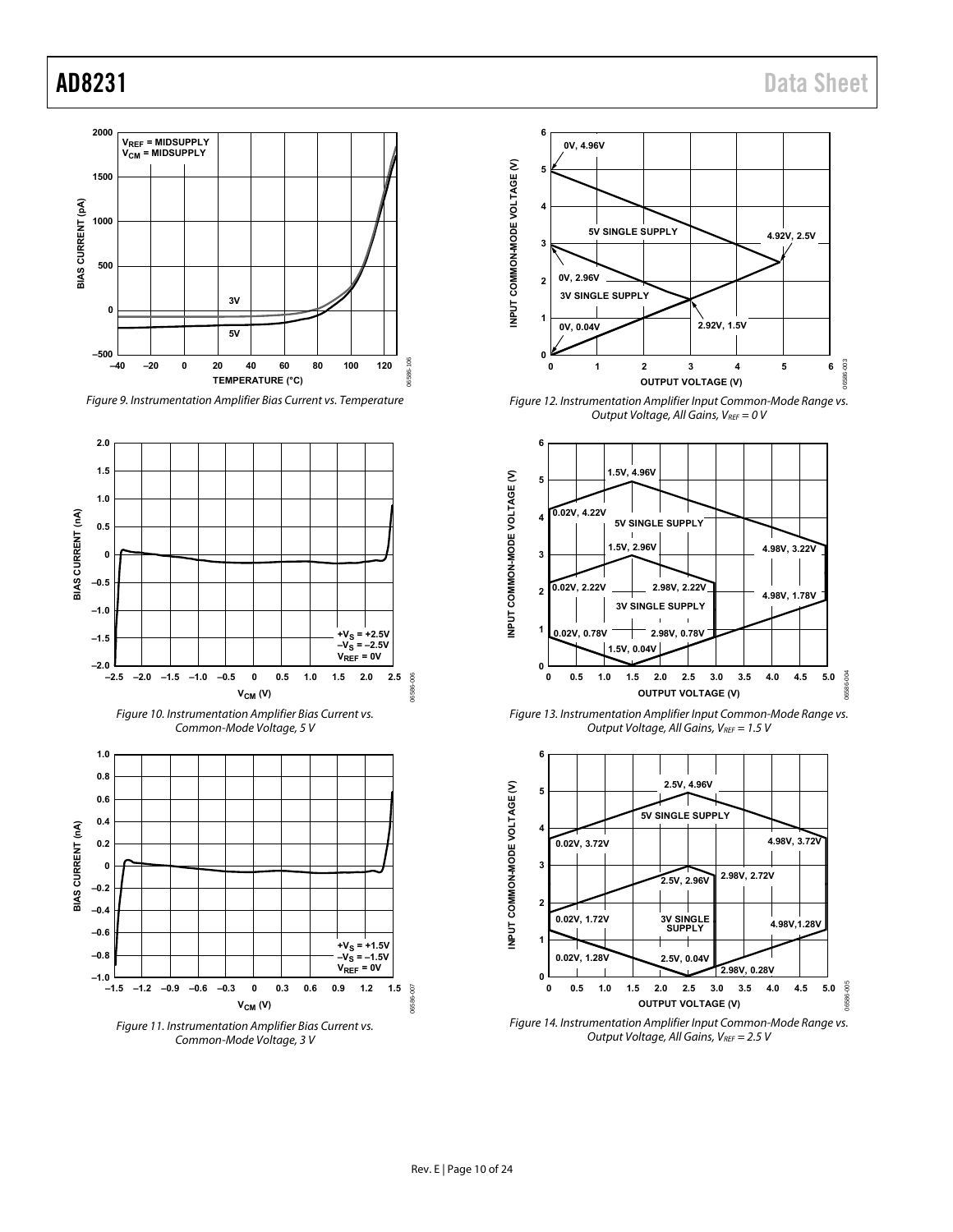

Figure 9. Instrumentation Amplifier Bias Current vs. Temperature



Common-Mode Voltage, 3 V



<span id="page-9-0"></span>Figure 12. Instrumentation Amplifier Input Common-Mode Range vs. Output Voltage, All Gains,  $V_{REF} = 0$  V



Figure 13. Instrumentation Amplifier Input Common-Mode Range vs. Output Voltage, All Gains,  $V_{REF} = 1.5 V$ 



<span id="page-9-1"></span>Output Voltage, All Gains,  $V_{REF} = 2.5 V$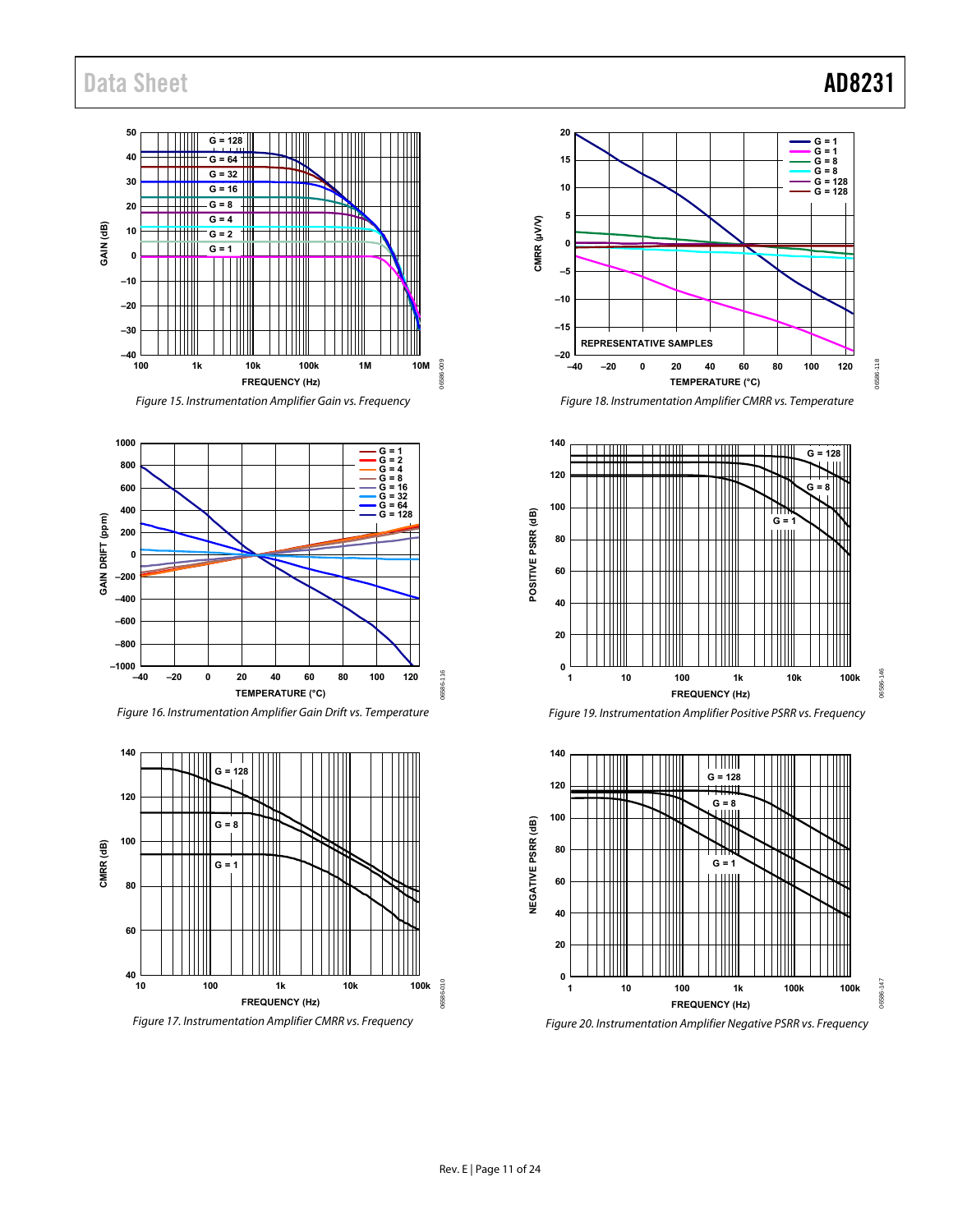### **50 G = 128 40 G = 64** H ┯┿╫ **G = 32 30 G = 16** 1 H **G = 8 20** TM **G = 4** - I III m **GAIN (dB)** GAIN (dB) **10 G = 2 G = 1 0 –10 –20 –30 –40** C<sub>09</sub> 06586-009 **100 10M 1k 10k 100k 1M** 16586 **FREQUENCY (Hz)**

Figure 15. Instrumentation Amplifier Gain vs. Frequency







Figure 17. Instrumentation Amplifier CMRR vs. Frequency



Figure 18. Instrumentation Amplifier CMRR vs. Temperature







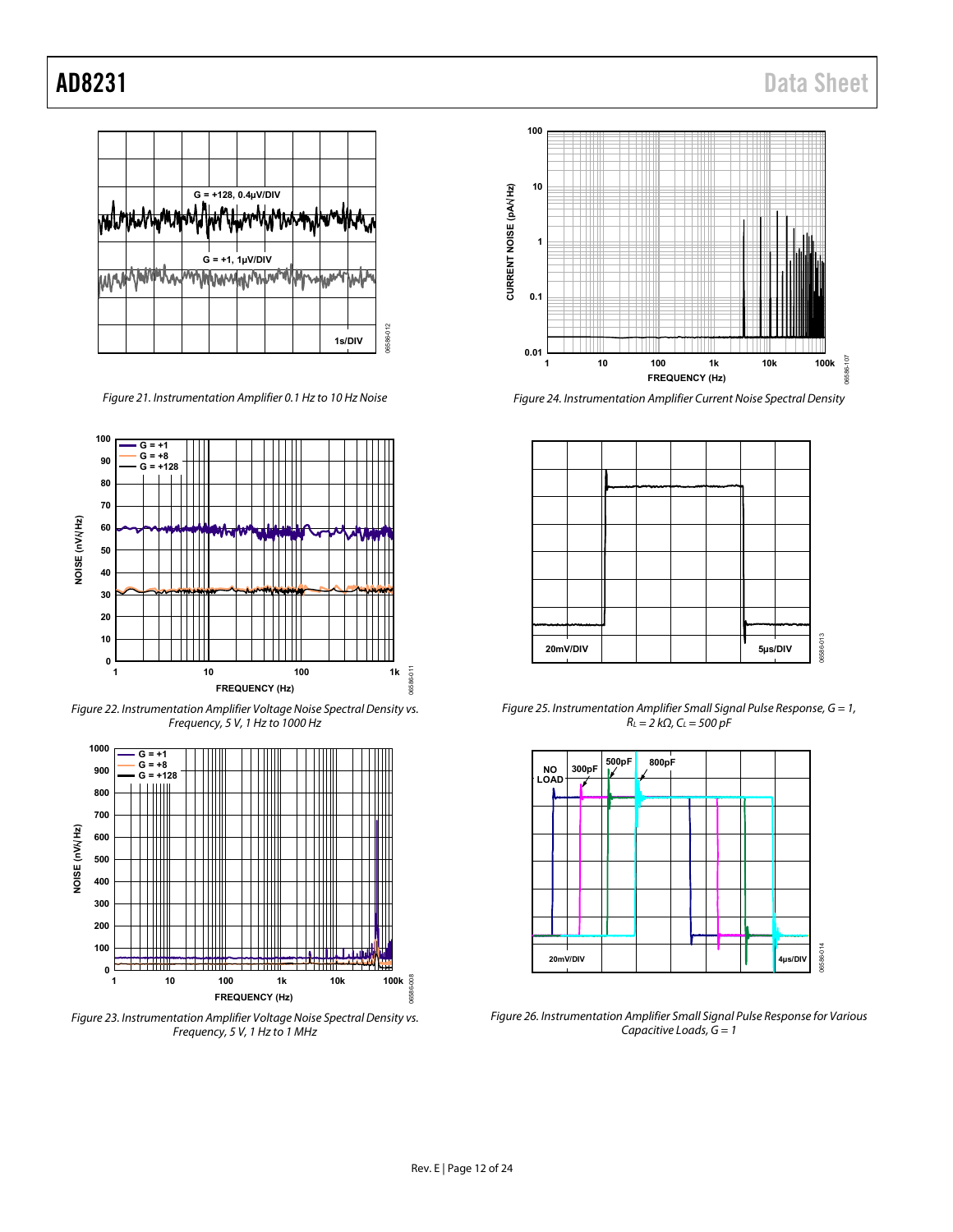

*Figure 21. Instrumentation Amplifier 0.1 Hz to 10 Hz Noise*



*Figure 22. Instrumentation Amplifier Voltage Noise Spectral Density vs. Frequency, 5 V, 1 Hz to 1000 Hz*



*Figure 23. Instrumentation Amplifier Voltage Noise Spectral Density vs. Frequency, 5 V, 1 Hz to 1 MHz*



*Figure 24. Instrumentation Amplifier Current Noise Spectral Density*



*Figure 25. Instrumentation Amplifier Small Signal Pulse Response, G = 1, RL = 2 kΩ, CL = 500 pF*



*Figure 26. Instrumentation Amplifier Small Signal Pulse Response for Various Capacitive Loads, G = 1*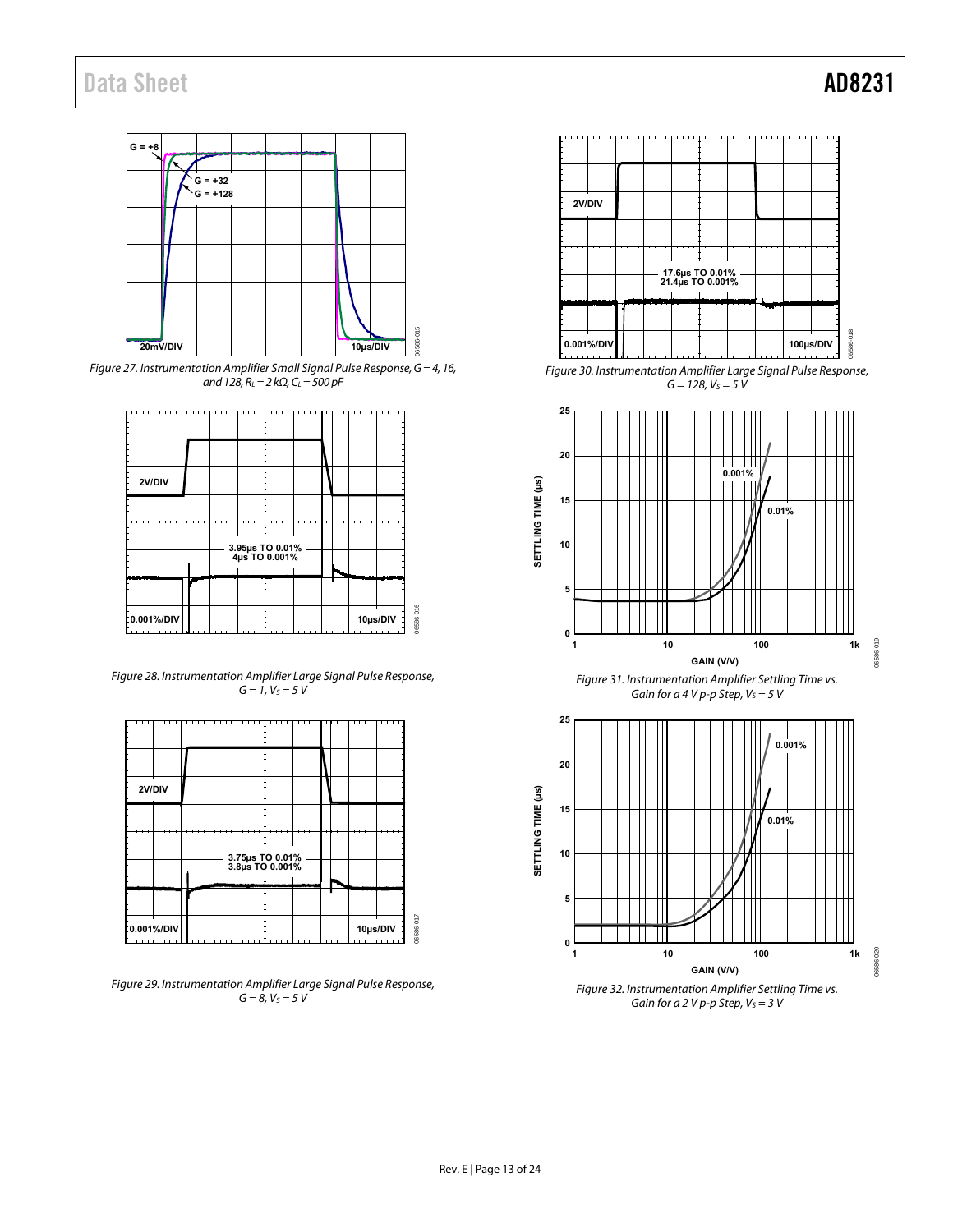

Figure 27. Instrumentation Amplifier Small Signal Pulse Response,  $G = 4$ , 16, and 128,  $R_L = 2 k\Omega$ ,  $C_L = 500 pF$ 



<span id="page-12-0"></span>Figure 28. Instrumentation Amplifier Large Signal Pulse Response,  $G = 1, V_S = 5 V$ 

| 2V/DIV     |  |                                    |  |  |          |           |
|------------|--|------------------------------------|--|--|----------|-----------|
|            |  |                                    |  |  |          |           |
|            |  | 3.75µs TO 0.01%<br>3.8µs TO 0.001% |  |  |          |           |
|            |  |                                    |  |  |          |           |
|            |  |                                    |  |  |          |           |
| 0.001%/DIV |  |                                    |  |  | 10µs/DIV | 06586-017 |

Figure 29. Instrumentation Amplifier Large Signal Pulse Response,  $G = 8, V<sub>S</sub> = 5 V$ 



Figure 30. Instrumentation Amplifier Large Signal Pulse Response,  $G = 128, V<sub>S</sub> = 5 V$ 



<span id="page-12-1"></span>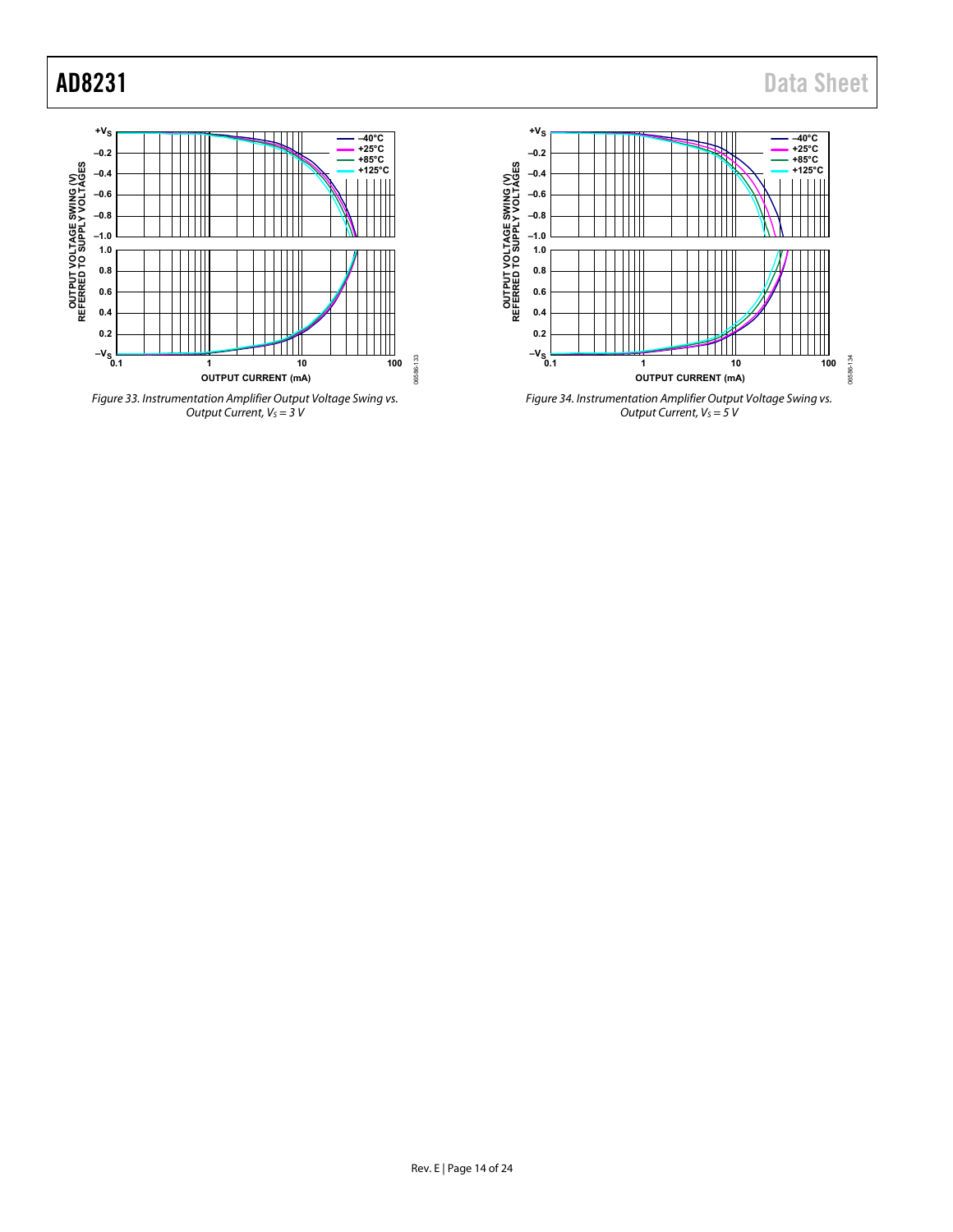





*Figure 34. Instrumentation Amplifier Output Voltage Swing vs. Output Current, V<sub>S</sub>* = 5*V*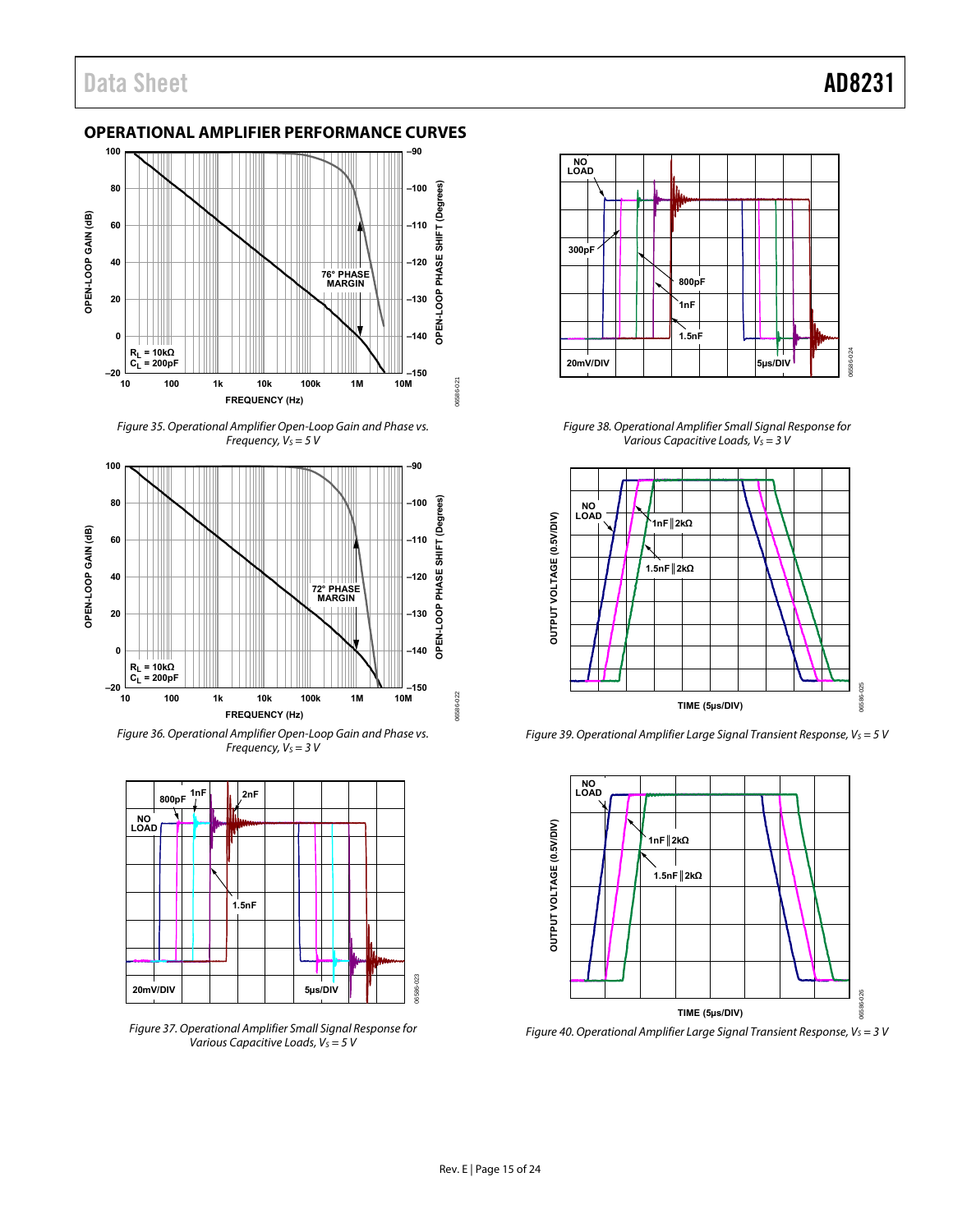# <span id="page-14-0"></span>**OPERATIONAL AMPLIFIER PERFORMANCE CURVES**



Figure 35. Operational Amplifier Open-Loop Gain and Phase vs. Frequency,  $V_S = 5 V$ 



Figure 36. Operational Amplifier Open-Loop Gain and Phase vs. Frequency,  $V_S = 3 V$ 



Figure 37. Operational Amplifier Small Signal Response for Various Capacitive Loads,  $V_S = 5 V$ 



Figure 38. Operational Amplifier Small Signal Response for Various Capacitive Loads,  $V_S = 3 V$ 



Figure 39. Operational Amplifier Large Signal Transient Response,  $V_S = 5$  V



Figure 40. Operational Amplifier Large Signal Transient Response,  $V_S = 3$  V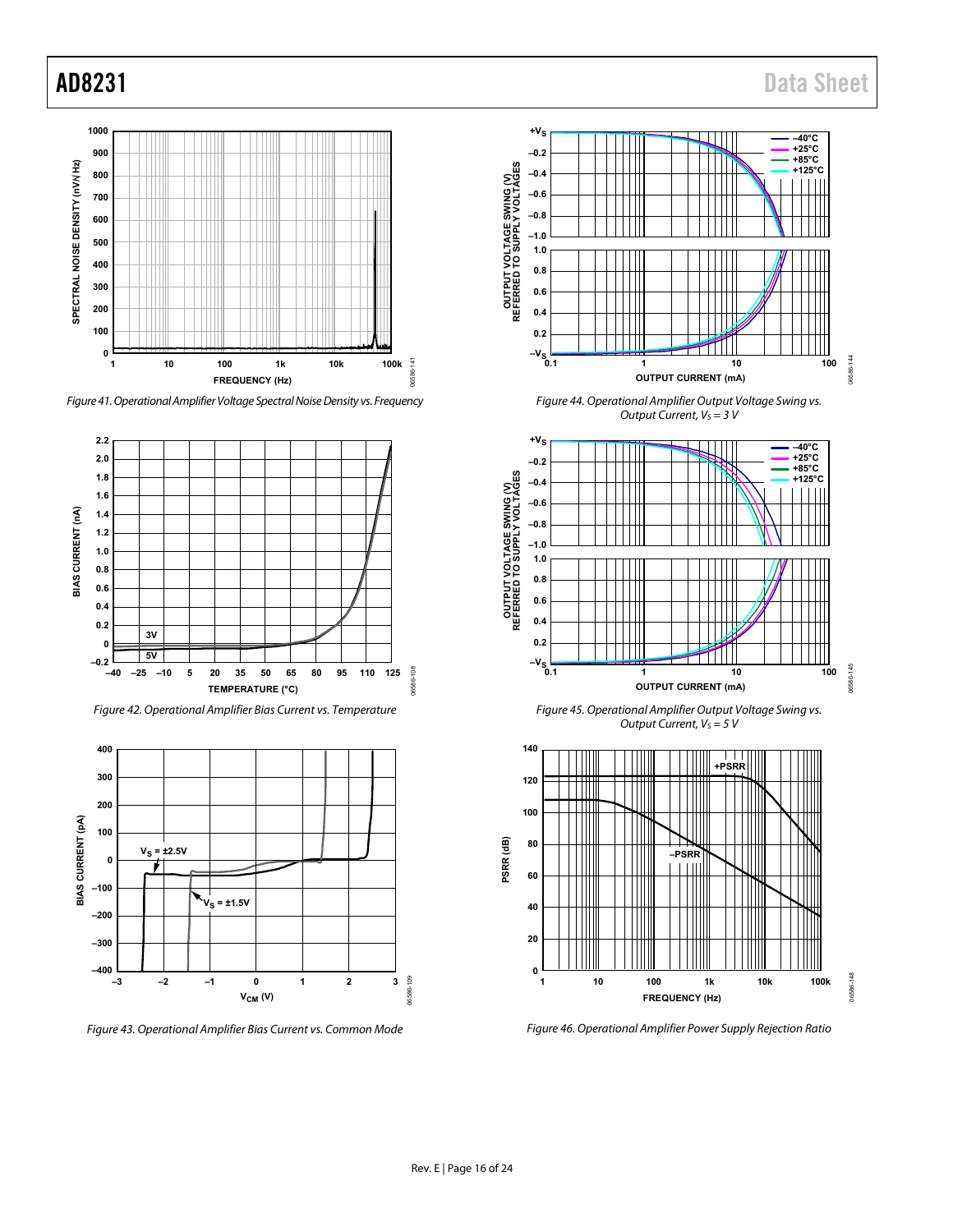

*Figure 41. Operational AmplifierVoltage Spectral Noise Density vs. Frequency*





*Figure 43. Operational Amplifier Bias Current vs. Common Mode*



*Figure 44. Operational Amplifier Output Voltage Swing vs. Output Current,*  $V_S = 3$  *V* 



*Figure 45. Operational Amplifier Output Voltage Swing vs. Output Current, V<sub>S</sub>* = 5 V



*Figure 46. Operational Amplifier Power Supply Rejection Ratio*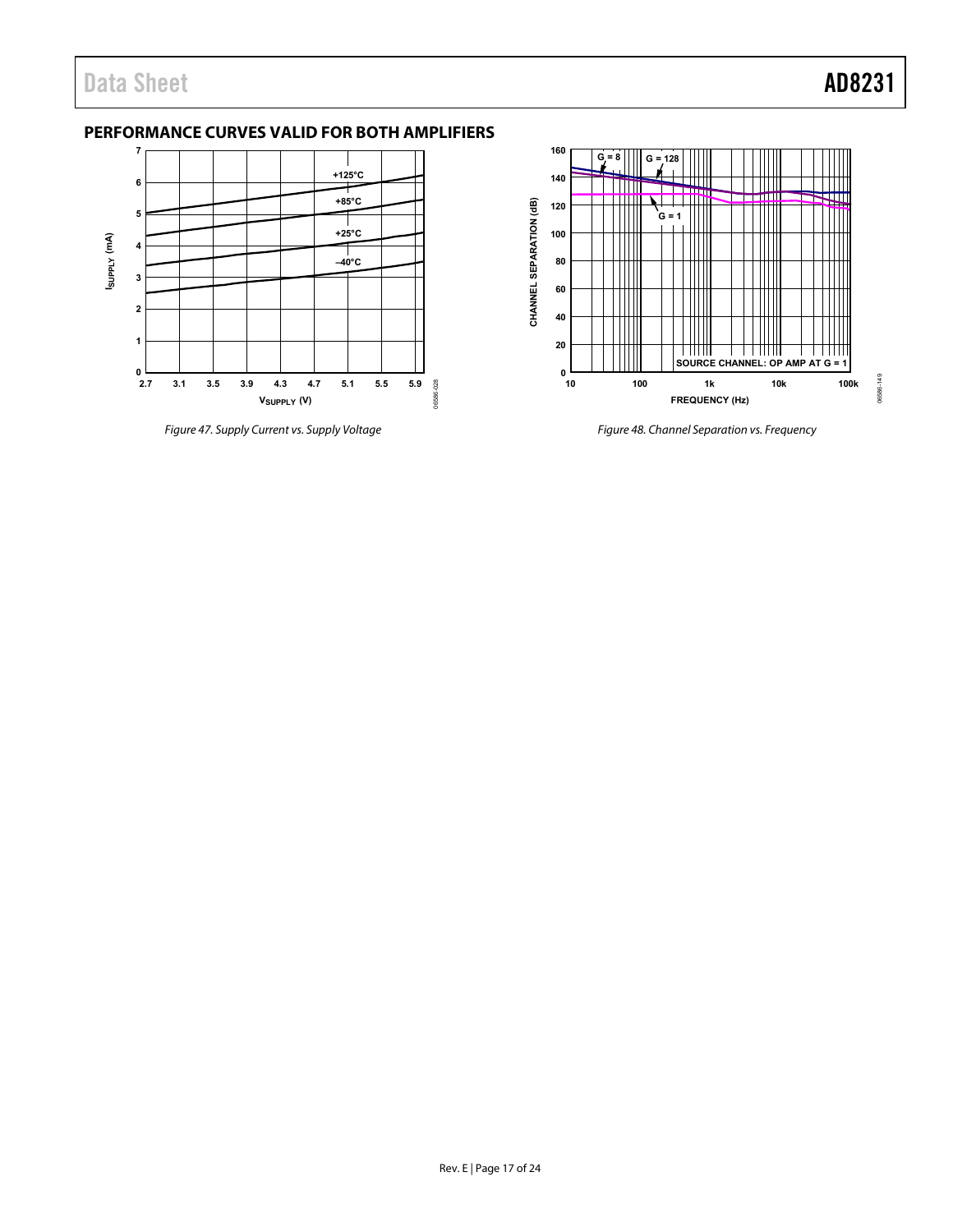# <span id="page-16-0"></span>**PERFORMANCE CURVES VALID FOR BOTH AMPLIFIERS**



*Figure 47. Supply Current vs. Supply Voltage*



*Figure 48. Channel Separation vs. Frequency*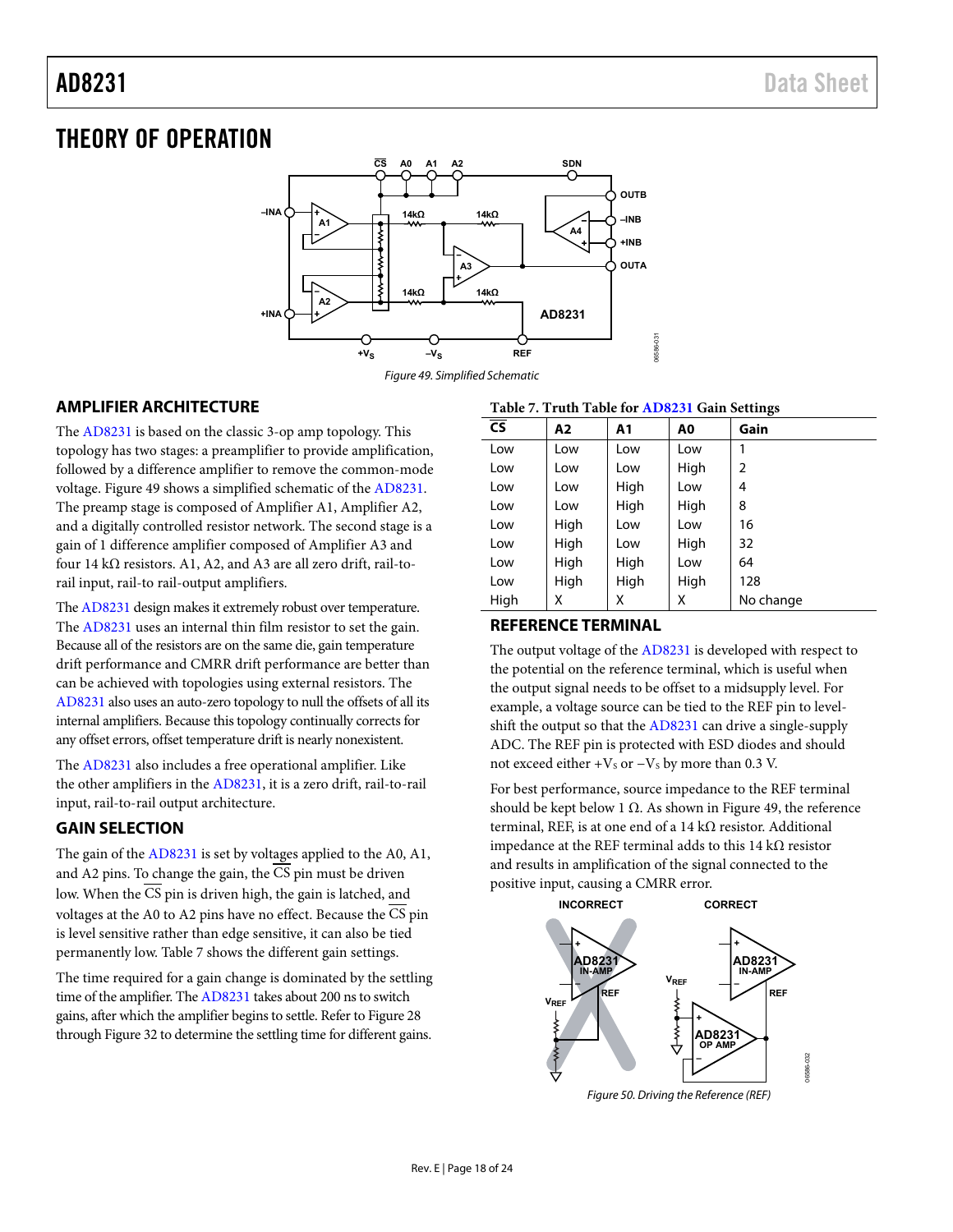# <span id="page-17-0"></span>THEORY OF OPERATION



*Figure 49. Simplified Schematic*

# <span id="page-17-4"></span><span id="page-17-1"></span>**AMPLIFIER ARCHITECTURE**

The [AD8231](http://www.analog.com/AD8231?doc=AD8231.pdf) is based on the classic 3-op amp topology. This topology has two stages: a preamplifier to provide amplification, followed by a difference amplifier to remove the common-mode voltage. [Figure 49](#page-17-4) shows a simplified schematic of th[e AD8231.](http://www.analog.com/AD8231?doc=AD8231.pdf) The preamp stage is composed of Amplifier A1, Amplifier A2, and a digitally controlled resistor network. The second stage is a gain of 1 difference amplifier composed of Amplifier A3 and four 14 kΩ resistors. A1, A2, and A3 are all zero drift, rail-torail input, rail-to rail-output amplifiers.

Th[e AD8231](http://www.analog.com/AD8231?doc=AD8231.pdf) design makes it extremely robust over temperature. The [AD8231](http://www.analog.com/AD8231?doc=AD8231.pdf) uses an internal thin film resistor to set the gain. Because all of the resistors are on the same die, gain temperature drift performance and CMRR drift performance are better than can be achieved with topologies using external resistors. The [AD8231](http://www.analog.com/AD8231?doc=AD8231.pdf) also uses an auto-zero topology to null the offsets of all its internal amplifiers. Because this topology continually corrects for any offset errors, offset temperature drift is nearly nonexistent.

The [AD8231](http://www.analog.com/AD8231?doc=AD8231.pdf) also includes a free operational amplifier. Like the other amplifiers in the [AD8231,](http://www.analog.com/AD8231?doc=AD8231.pdf) it is a zero drift, rail-to-rail input, rail-to-rail output architecture.

# <span id="page-17-2"></span>**GAIN SELECTION**

The gain of th[e AD8231](http://www.analog.com/AD8231?doc=AD8231.pdf) is set by voltages applied to the A0, A1, and A2 pins. To change the gain, the CS pin must be driven low. When the  $\overline{CS}$  pin is driven high, the gain is latched, and voltages at the A0 to A2 pins have no effect. Because the CS pin is level sensitive rather than edge sensitive, it can also be tied permanently low[. Table 7](#page-17-5) shows the different gain settings.

The time required for a gain change is dominated by the settling time of the amplifier. Th[e AD8231](http://www.analog.com/AD8231?doc=AD8231.pdf) takes about 200 ns to switch gains, after which the amplifier begins to settle. Refer t[o Figure 28](#page-12-0) throug[h Figure 32](#page-12-1) to determine the settling time for different gains.

## <span id="page-17-5"></span>**Table 7. Truth Table for [AD8231](http://www.analog.com/AD8231?doc=AD8231.pdf) Gain Settings**

| <b>CS</b> | A2   | A1   | A0   | Gain      |
|-----------|------|------|------|-----------|
| Low       | Low  | Low  | Low  |           |
| Low       | Low  | Low  | High | 2         |
| Low       | Low  | High | Low  | 4         |
| Low       | Low  | High | High | 8         |
| Low       | High | Low  | Low  | 16        |
| Low       | High | Low  | High | 32        |
| Low       | High | High | Low  | 64        |
| Low       | High | High | High | 128       |
| High      | х    | X    | X    | No change |

## <span id="page-17-3"></span>**REFERENCE TERMINAL**

The output voltage of th[e AD8231](http://www.analog.com/AD8231?doc=AD8231.pdf) is developed with respect to the potential on the reference terminal, which is useful when the output signal needs to be offset to a midsupply level. For example, a voltage source can be tied to the REF pin to levelshift the output so that th[e AD8231](http://www.analog.com/AD8231?doc=AD8231.pdf) can drive a single-supply ADC. The REF pin is protected with ESD diodes and should not exceed either + $V<sub>S</sub>$  or  $-V<sub>S</sub>$  by more than 0.3 V.

For best performance, source impedance to the REF terminal should be kept below 1  $\Omega$ . As shown i[n Figure 49,](#page-17-4) the reference terminal, REF, is at one end of a 14 kΩ resistor. Additional impedance at the REF terminal adds to this 14 kΩ resistor and results in amplification of the signal connected to the positive input, causing a CMRR error.

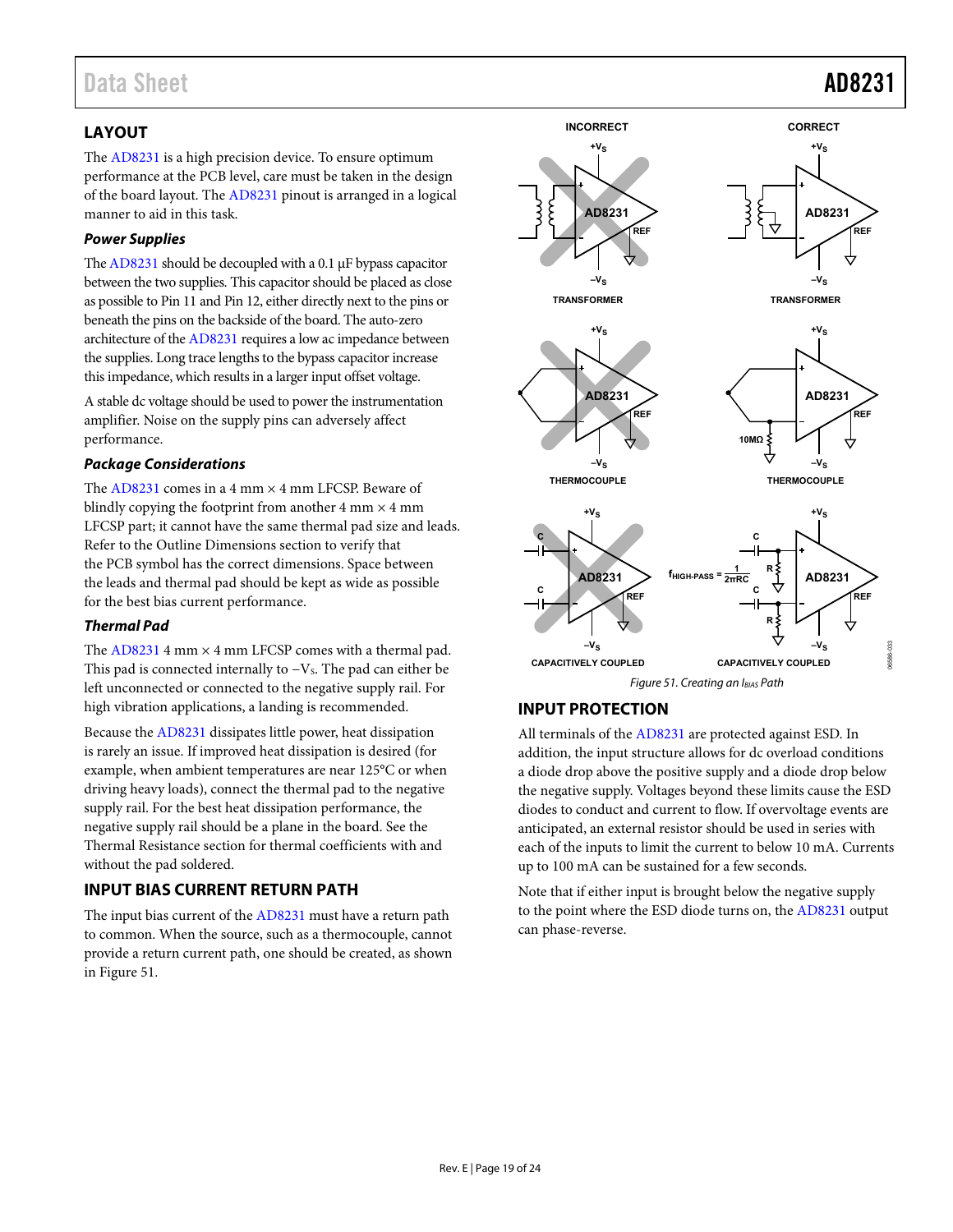# Data Sheet **AD8231**

# <span id="page-18-0"></span>**LAYOUT**

The [AD8231](http://www.analog.com/AD8231?doc=AD8231.pdf) is a high precision device. To ensure optimum performance at the PCB level, care must be taken in the design of the board layout. The [AD8231](http://www.analog.com/AD8231?doc=AD8231.pdf) pinout is arranged in a logical manner to aid in this task.

## *Power Supplies*

Th[e AD8231](http://www.analog.com/AD8231?doc=AD8231.pdf) should be decoupled with a 0.1 µF bypass capacitor between the two supplies. This capacitor should be placed as close as possible to Pin 11 and Pin 12, either directly next to the pins or beneath the pins on the backside of the board. The auto-zero architecture of th[e AD8231](http://www.analog.com/AD8231?doc=AD8231.pdf) requires a low ac impedance between the supplies. Long trace lengths to the bypass capacitor increase this impedance, which results in a larger input offset voltage.

A stable dc voltage should be used to power the instrumentation amplifier. Noise on the supply pins can adversely affect performance.

### *Package Considerations*

The  $AD8231$  comes in a 4 mm  $\times$  4 mm LFCSP. Beware of blindly copying the footprint from another 4 mm  $\times$  4 mm LFCSP part; it cannot have the same thermal pad size and leads. Refer to th[e Outline Dimensions](#page-22-0) section to verify that the PCB symbol has the correct dimensions. Space between the leads and thermal pad should be kept as wide as possible for the best bias current performance.

## *Thermal Pad*

The  $AD8231$  4 mm  $\times$  4 mm LFCSP comes with a thermal pad. This pad is connected internally to  $-V<sub>S</sub>$ . The pad can either be left unconnected or connected to the negative supply rail. For high vibration applications, a landing is recommended.

Because the [AD8231](http://www.analog.com/AD8231?doc=AD8231.pdf) dissipates little power, heat dissipation is rarely an issue. If improved heat dissipation is desired (for example, when ambient temperatures are near 125°C or when driving heavy loads), connect the thermal pad to the negative supply rail. For the best heat dissipation performance, the negative supply rail should be a plane in the board. See the [Thermal Resistance](#page-6-1) section for thermal coefficients with and without the pad soldered.

# <span id="page-18-1"></span>**INPUT BIAS CURRENT RETURN PATH**

The input bias current of th[e AD8231](http://www.analog.com/AD8231?doc=AD8231.pdf) must have a return path to common. When the source, such as a thermocouple, cannot provide a return current path, one should be created, as shown in [Figure 51.](#page-18-3)



# <span id="page-18-3"></span><span id="page-18-2"></span>**INPUT PROTECTION**

All terminals of th[e AD8231](http://www.analog.com/AD8231?doc=AD8231.pdf) are protected against ESD. In addition, the input structure allows for dc overload conditions a diode drop above the positive supply and a diode drop below the negative supply. Voltages beyond these limits cause the ESD diodes to conduct and current to flow. If overvoltage events are anticipated, an external resistor should be used in series with each of the inputs to limit the current to below 10 mA. Currents up to 100 mA can be sustained for a few seconds.

Note that if either input is brought below the negative supply to the point where the ESD diode turns on, the [AD8231](http://www.analog.com/AD8231?doc=AD8231.pdf) output can phase-reverse.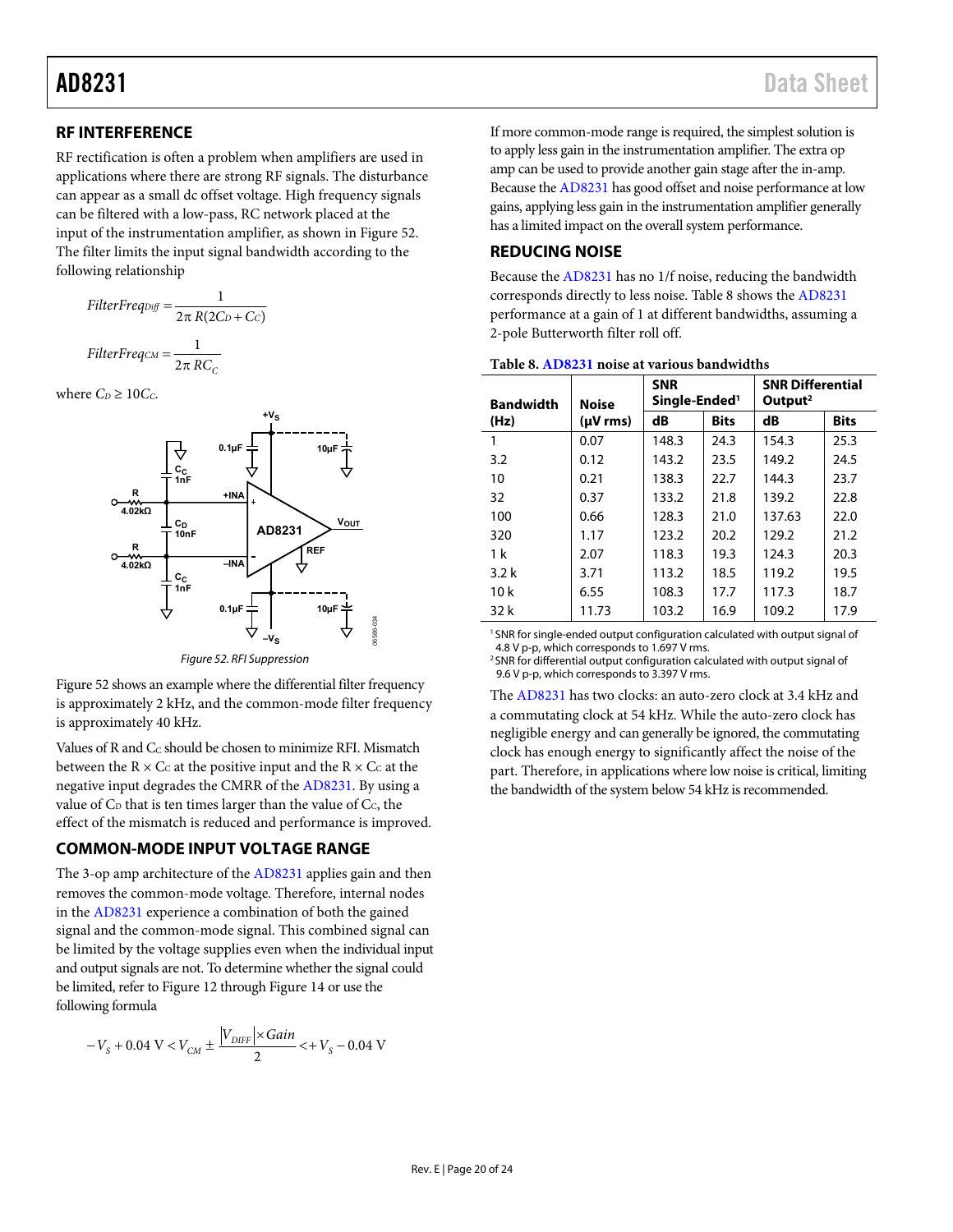# AD8231 Data Sheet

## <span id="page-19-0"></span>**RF INTERFERENCE**

RF rectification is often a problem when amplifiers are used in applications where there are strong RF signals. The disturbance can appear as a small dc offset voltage. High frequency signals can be filtered with a low-pass, RC network placed at the input of the instrumentation amplifier, as shown i[n Figure 52.](#page-19-3) The filter limits the input signal bandwidth according to the following relationship

$$
FilterFreqDiff = \frac{1}{2\pi R(2C_D + C_C)}
$$

$$
FilterFreqC = \frac{1}{2\pi RC_C}
$$

where  $C_D \geq 10C_C$ .



Figure 52. RFI Suppression

06586-034

<span id="page-19-3"></span>[Figure 52 s](#page-19-3)hows an example where the differential filter frequency is approximately 2 kHz, and the common-mode filter frequency is approximately 40 kHz.

Values of R and C<sub>C</sub> should be chosen to minimize RFI. Mismatch between the  $R \times C_C$  at the positive input and the  $R \times C_C$  at the negative input degrades the CMRR of th[e AD8231.](http://www.analog.com/AD8231?doc=AD8231.pdf) By using a value of  $C_D$  that is ten times larger than the value of  $C_C$ , the effect of the mismatch is reduced and performance is improved.

# <span id="page-19-1"></span>**COMMON-MODE INPUT VOLTAGE RANGE**

The 3-op amp architecture of the [AD8231 a](http://www.analog.com/AD8231?doc=AD8231.pdf)pplies gain and then removes the common-mode voltage. Therefore, internal nodes in the [AD8231](http://www.analog.com/AD8231?doc=AD8231.pdf) experience a combination of both the gained signal and the common-mode signal. This combined signal can be limited by the voltage supplies even when the individual input and output signals are not. To determine whether the signal could be limited, refer t[o Figure 12 t](#page-9-0)hroug[h Figure 14 o](#page-9-1)r use the following formula

$$
-V_s + 0.04 \text{ V} < V_{CM} \pm \frac{|V_{DIFF}| \times Gain}{2} < + V_s - 0.04 \text{ V}
$$

If more common-mode range is required, the simplest solution is to apply less gain in the instrumentation amplifier. The extra op amp can be used to provide another gain stage after the in-amp. Because th[e AD8231](http://www.analog.com/AD8231?doc=AD8231.pdf) has good offset and noise performance at low gains, applying less gain in the instrumentation amplifier generally has a limited impact on the overall system performance.

## <span id="page-19-2"></span>**REDUCING NOISE**

Because the [AD8231 h](http://www.analog.com/AD8231?doc=AD8231.pdf)as no 1/f noise, reducing the bandwidth corresponds directly to less noise[. Table 8 s](#page-19-4)hows the [AD8231](http://www.analog.com/AD8231?doc=AD8231.pdf) performance at a gain of 1 at different bandwidths, assuming a 2-pole Butterworth filter roll off.

| <b>Bandwidth</b> | <b>Noise</b>            | <b>SNR</b><br>Single-Ended <sup>1</sup> |             |        |             | <b>SNR Differential</b><br>Output <sup>2</sup> |  |
|------------------|-------------------------|-----------------------------------------|-------------|--------|-------------|------------------------------------------------|--|
| (Hz)             | $(\mu V \, \text{rms})$ | dB                                      | <b>Bits</b> | dB     | <b>Bits</b> |                                                |  |
|                  | 0.07                    | 148.3                                   | 24.3        | 154.3  | 25.3        |                                                |  |
| 3.2              | 0.12                    | 143.2                                   | 23.5        | 149.2  | 24.5        |                                                |  |
| 10               | 0.21                    | 138.3                                   | 22.7        | 144.3  | 23.7        |                                                |  |
| 32               | 0.37                    | 133.2                                   | 21.8        | 139.2  | 22.8        |                                                |  |
| 100              | 0.66                    | 128.3                                   | 21.0        | 137.63 | 22.0        |                                                |  |
| 320              | 1.17                    | 123.2                                   | 20.2        | 129.2  | 21.2        |                                                |  |
| 1 k              | 2.07                    | 118.3                                   | 19.3        | 124.3  | 20.3        |                                                |  |
| 3.2k             | 3.71                    | 113.2                                   | 18.5        | 119.2  | 19.5        |                                                |  |
| 10k              | 6.55                    | 108.3                                   | 17.7        | 117.3  | 18.7        |                                                |  |
| 32k              | 11.73                   | 103.2                                   | 16.9        | 109.2  | 17.9        |                                                |  |

<span id="page-19-4"></span>

| Table 8. AD8231 noise at various bandwidths |  |
|---------------------------------------------|--|
|---------------------------------------------|--|

<sup>1</sup>SNR for single-ended output configuration calculated with output signal of 4.8 V p-p, which corresponds to 1.697 V rms.

<sup>2</sup> SNR for differential output configuration calculated with output signal of 9.6 V p-p, which corresponds to 3.397 V rms.

The [AD8231 h](http://www.analog.com/AD8231?doc=AD8231.pdf)as two clocks: an auto-zero clock at 3.4 kHz and a commutating clock at 54 kHz. While the auto-zero clock has negligible energy and can generally be ignored, the commutating clock has enough energy to significantly affect the noise of the part. Therefore, in applications where low noise is critical, limiting the bandwidth of the system below 54 kHz is recommended.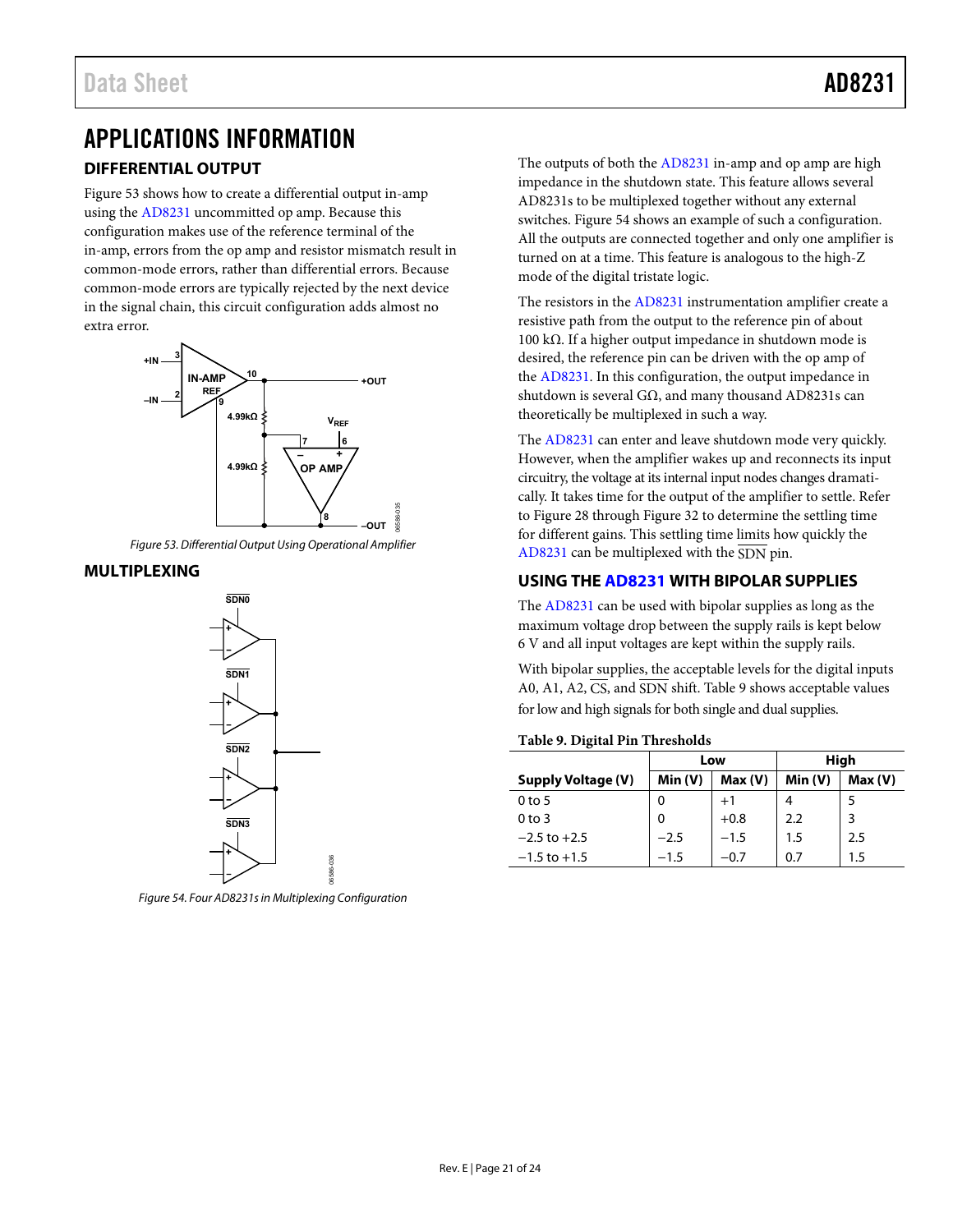# <span id="page-20-1"></span><span id="page-20-0"></span>APPLICATIONS INFORMATION **DIFFERENTIAL OUTPUT**

[Figure 53](#page-20-4) shows how to create a differential output in-amp using the [AD8231](http://www.analog.com/AD8231?doc=AD8231.pdf) uncommitted op amp. Because this configuration makes use of the reference terminal of the in-amp, errors from the op amp and resistor mismatch result in common-mode errors, rather than differential errors. Because common-mode errors are typically rejected by the next device in the signal chain, this circuit configuration adds almost no extra error.



*Figure 53. Differential Output Using Operational Amplifier*

## <span id="page-20-4"></span><span id="page-20-2"></span>**MULTIPLEXING**



<span id="page-20-5"></span>*Figure 54. Four AD8231s in Multiplexing Configuration*

06586-036

The outputs of both th[e AD8231](http://www.analog.com/AD8231?doc=AD8231.pdf) in-amp and op amp are high impedance in the shutdown state. This feature allows several AD8231s to be multiplexed together without any external switches. [Figure 54](#page-20-5) shows an example of such a configuration. All the outputs are connected together and only one amplifier is turned on at a time. This feature is analogous to the high-Z mode of the digital tristate logic.

The resistors in th[e AD8231](http://www.analog.com/AD8231?doc=AD8231.pdf) instrumentation amplifier create a resistive path from the output to the reference pin of about 100 kΩ. If a higher output impedance in shutdown mode is desired, the reference pin can be driven with the op amp of the [AD8231.](http://www.analog.com/AD8231?doc=AD8231.pdf) In this configuration, the output impedance in shutdown is several GΩ, and many thousand AD8231s can theoretically be multiplexed in such a way.

The [AD8231](http://www.analog.com/AD8231?doc=AD8231.pdf) can enter and leave shutdown mode very quickly. However, when the amplifier wakes up and reconnects its input circuitry, the voltage at its internal input nodes changes dramatically. It takes time for the output of the amplifier to settle. Refer to [Figure 28](#page-12-0) throug[h Figure 32](#page-12-1) to determine the settling time for different gains. This settling time limits how quickly the [AD8231](http://www.analog.com/AD8231?doc=AD8231.pdf) can be multiplexed with the SDN pin.

# <span id="page-20-3"></span>**USING TH[E AD8231](http://www.analog.com/AD8231?doc=AD8231.pdf) WITH BIPOLAR SUPPLIES**

The [AD8231](http://www.analog.com/AD8231?doc=AD8231.pdf) can be used with bipolar supplies as long as the maximum voltage drop between the supply rails is kept below 6 V and all input voltages are kept within the supply rails.

With bipolar supplies, the acceptable levels for the digital inputs A0, A1, A2,  $\overline{CS}$ , and  $\overline{SDN}$  shift[. Table 9](#page-20-6) shows acceptable values for low and high signals for both single and dual supplies.

# <span id="page-20-6"></span>**Table 9. Digital Pin Thresholds**

|                           |        | Low    |        | High   |
|---------------------------|--------|--------|--------|--------|
| <b>Supply Voltage (V)</b> | Min(V) | Max(V) | Min(V) | Max(V) |
| 0 <sub>to 5</sub>         | 0      | $+1$   |        |        |
| $0$ to 3                  | 0      | $+0.8$ | 2.2    | 3      |
| $-2.5$ to $+2.5$          | $-2.5$ | $-1.5$ | 1.5    | 2.5    |
| $-1.5$ to $+1.5$          | $-1.5$ | $-0.7$ | 0.7    | 1.5    |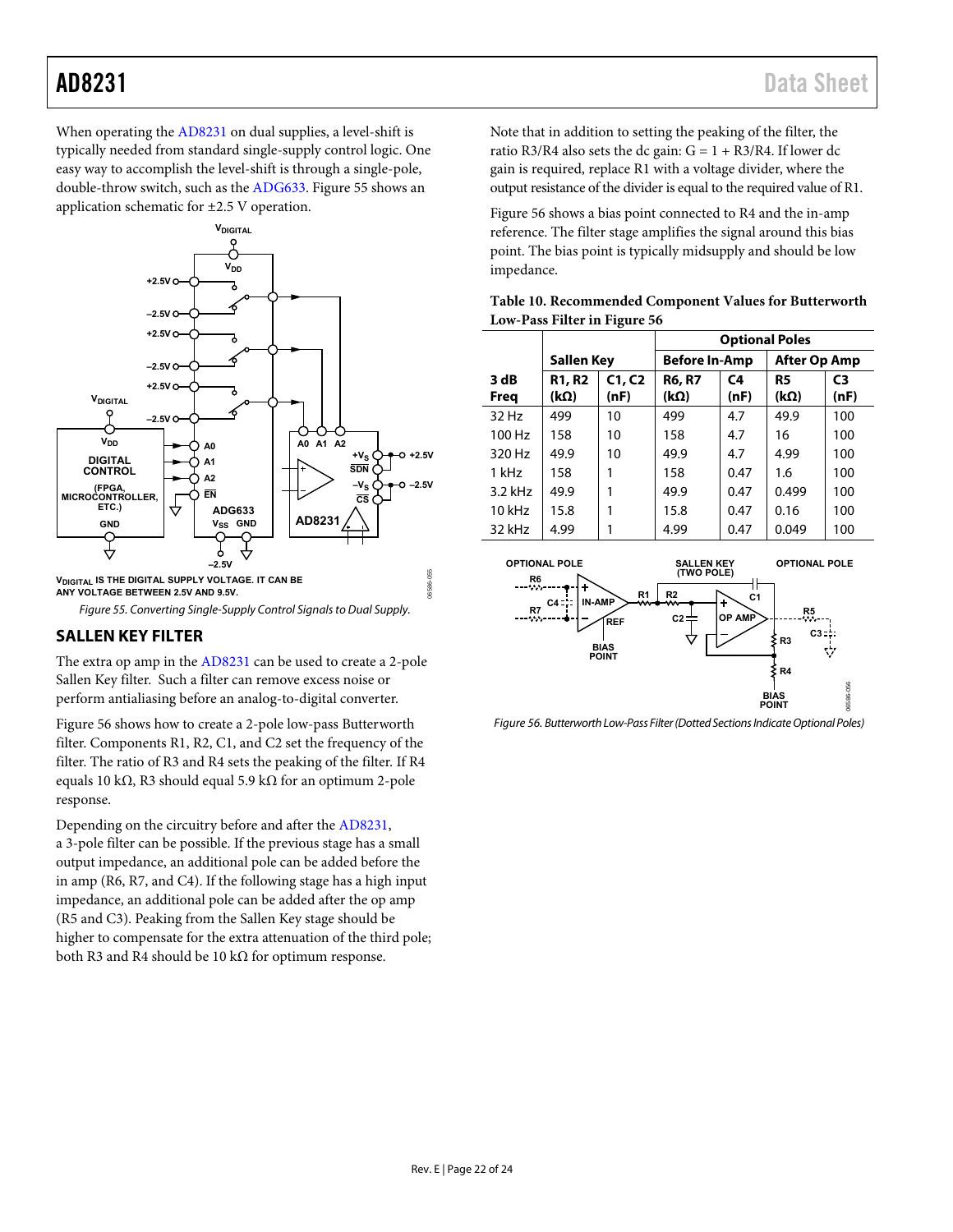When operating th[e AD8231](http://www.analog.com/AD8231?doc=AD8231.pdf) on dual supplies, a level-shift is typically needed from standard single-supply control logic. One easy way to accomplish the level-shift is through a single-pole, double-throw switch, such as th[e ADG633.](http://www.analog.com/ADG633?doc=AD8231.pdf) [Figure 55 s](#page-21-1)hows an application schematic for ±2.5 V operation.



<span id="page-21-1"></span>**ANY VOLTAGE BETWEEN 2.5V AND 9.5V.**

Figure 55. Converting Single-Supply Control Signals to Dual Supply.

# <span id="page-21-0"></span>**SALLEN KEY FILTER**

The extra op amp in th[e AD8231](http://www.analog.com/AD8231?doc=AD8231.pdf) can be used to create a 2-pole Sallen Key filter. Such a filter can remove excess noise or perform antialiasing before an analog-to-digital converter.

[Figure 56 s](#page-21-2)hows how to create a 2-pole low-pass Butterworth filter. Components R1, R2, C1, and C2 set the frequency of the filter. The ratio of R3 and R4 sets the peaking of the filter. If R4 equals 10 kΩ, R3 should equal 5.9 kΩ for an optimum 2-pole response.

Depending on the circuitry before and after the [AD8231,](http://www.analog.com/AD8231?doc=AD8231.pdf)  a 3-pole filter can be possible. If the previous stage has a small output impedance, an additional pole can be added before the in amp (R6, R7, and C4). If the following stage has a high input impedance, an additional pole can be added after the op amp (R5 and C3). Peaking from the Sallen Key stage should be higher to compensate for the extra attenuation of the third pole; both R3 and R4 should be 10 kΩ for optimum response.

Note that in addition to setting the peaking of the filter, the ratio R3/R4 also sets the dc gain:  $G = 1 + R3/R4$ . If lower dc gain is required, replace R1 with a voltage divider, where the output resistance of the divider is equal to the required value of R1.

[Figure 56 s](#page-21-2)hows a bias point connected to R4 and the in-amp reference. The filter stage amplifies the signal around this bias point. The bias point is typically midsupply and should be low impedance.

| Table 10. Recommended Component Values for Butterworth |  |
|--------------------------------------------------------|--|
| Low-Pass Filter in Figure 56                           |  |

|              |                              |                                      | <b>Optional Poles</b> |                        |                               |                        |
|--------------|------------------------------|--------------------------------------|-----------------------|------------------------|-------------------------------|------------------------|
|              | Sallen Key                   | <b>After Op Amp</b><br>Before In-Amp |                       |                        |                               |                        |
| 3 dB<br>Freg | <b>R1, R2</b><br>$(k\Omega)$ | C1, C2<br>(nF)                       | <b>R6, R7</b><br>(kΩ) | C <sub>4</sub><br>(nF) | R <sub>5</sub><br>$(k\Omega)$ | C <sub>3</sub><br>(nF) |
| 32 Hz        | 499                          | 10                                   | 499                   | 4.7                    | 49.9                          | 100                    |
| 100 Hz       | 158                          | 10                                   | 158                   | 4.7                    | 16                            | 100                    |
| 320 Hz       | 49.9                         | 10                                   | 49.9                  | 4.7                    | 4.99                          | 100                    |
| 1 kHz        | 158                          |                                      | 158                   | 0.47                   | 1.6                           | 100                    |
| $3.2$ kHz    | 49.9                         |                                      | 49.9                  | 0.47                   | 0.499                         | 100                    |
| 10 kHz       | 15.8                         |                                      | 15.8                  | 0.47                   | 0.16                          | 100                    |
| 32 kHz       | 4.99                         |                                      | 4.99                  | 0.47                   | 0.049                         | 100                    |



<span id="page-21-2"></span>Figure 56. Butterworth Low-Pass Filter (Dotted Sections Indicate Optional Poles)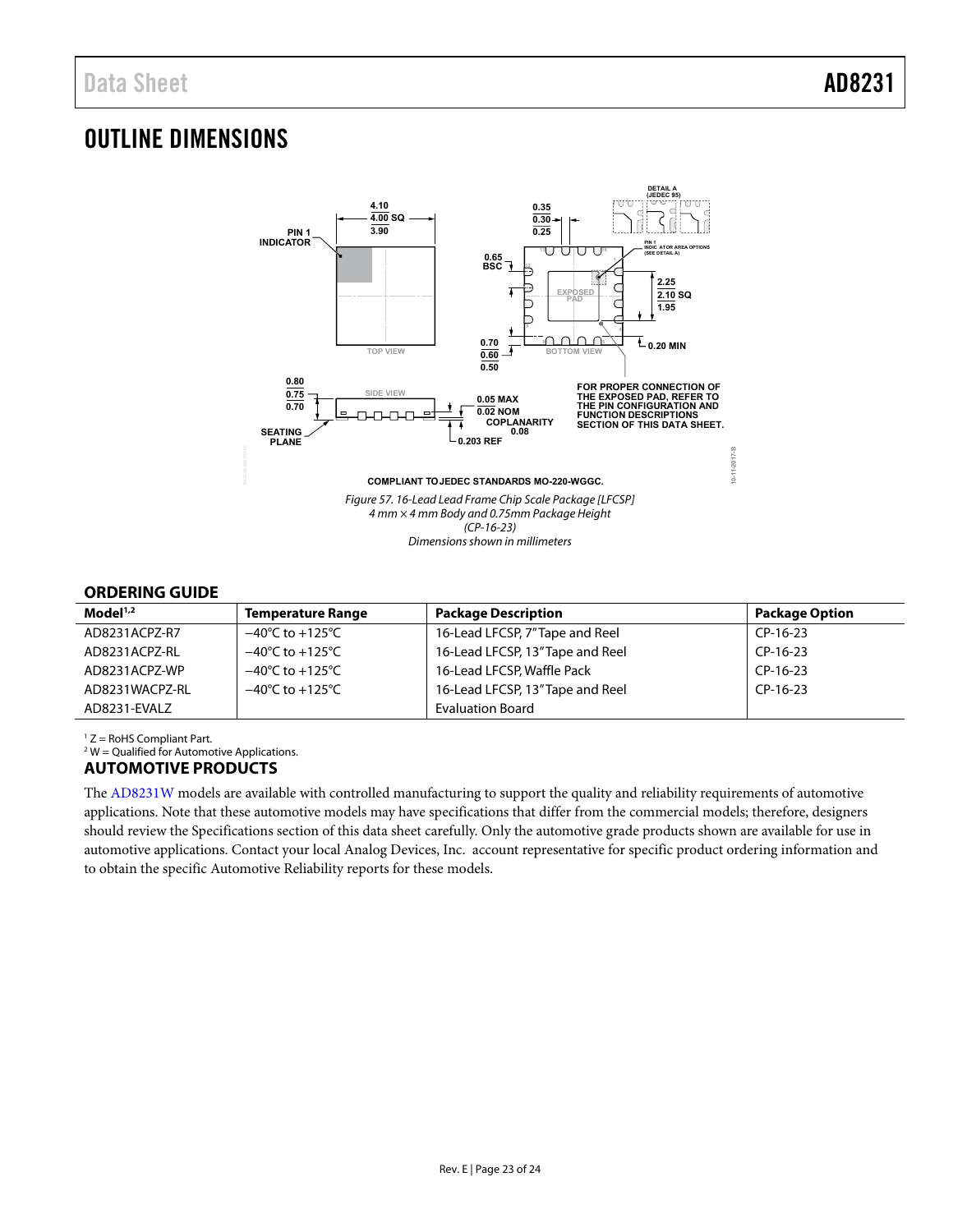# <span id="page-22-0"></span>OUTLINE DIMENSIONS



# <span id="page-22-1"></span>**ORDERING GUIDE**

| $\mathsf{Model}^{1,2}$ | <b>Temperature Range</b>            | <b>Package Description</b>       | <b>Package Option</b> |
|------------------------|-------------------------------------|----------------------------------|-----------------------|
| AD8231ACPZ-R7          | $-40^{\circ}$ C to $+125^{\circ}$ C | 16-Lead LFCSP, 7"Tape and Reel   | CP-16-23              |
| AD8231ACPZ-RL          | $-40^{\circ}$ C to $+125^{\circ}$ C | 16-Lead LFCSP, 13" Tape and Reel | CP-16-23              |
| AD8231ACPZ-WP          | $-40^{\circ}$ C to $+125^{\circ}$ C | 16-Lead LFCSP, Waffle Pack       | $CP-16-23$            |
| AD8231WACPZ-RL         | $-40^{\circ}$ C to $+125^{\circ}$ C | 16-Lead LFCSP, 13" Tape and Reel | $CP-16-23$            |
| AD8231-EVALZ           |                                     | <b>Evaluation Board</b>          |                       |

1 Z = RoHS Compliant Part.

 $2$  W = Qualified for Automotive Applications.

# <span id="page-22-2"></span>**AUTOMOTIVE PRODUCTS**

The [AD8231W](http://www.analog.com/AD8231?doc=AD8231.pdf) models are available with controlled manufacturing to support the quality and reliability requirements of automotive applications. Note that these automotive models may have specifications that differ from the commercial models; therefore, designers should review th[e Specifications s](#page-2-0)ection of this data sheet carefully. Only the automotive grade products shown are available for use in automotive applications. Contact your local Analog Devices, Inc. account representative for specific product ordering information and to obtain the specific Automotive Reliability reports for these models.